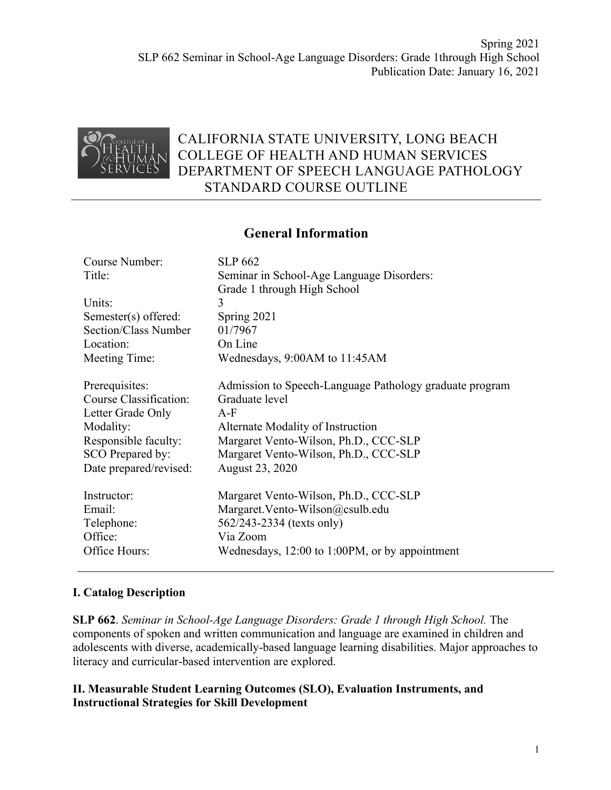

# CALIFORNIA STATE UNIVERSITY, LONG BEACH COLLEGE OF HEALTH AND HUMAN SERVICES DEPARTMENT OF SPEECH LANGUAGE PATHOLOGY STANDARD COURSE OUTLINE

## **General Information**

| <b>SLP 662</b>                                          |
|---------------------------------------------------------|
| Seminar in School-Age Language Disorders:               |
| Grade 1 through High School                             |
| 3                                                       |
| Spring 2021                                             |
| 01/7967                                                 |
| On Line                                                 |
| Wednesdays, 9:00AM to 11:45AM                           |
|                                                         |
| Admission to Speech-Language Pathology graduate program |
| Graduate level                                          |
| $A-F$                                                   |
| Alternate Modality of Instruction                       |
| Margaret Vento-Wilson, Ph.D., CCC-SLP                   |
| Margaret Vento-Wilson, Ph.D., CCC-SLP                   |
| August 23, 2020                                         |
|                                                         |
| Margaret Vento-Wilson, Ph.D., CCC-SLP                   |
| Margaret. Vento-Wilson@csulb.edu                        |
| 562/243-2334 (texts only)                               |
| Via Zoom                                                |
| Wednesdays, 12:00 to 1:00PM, or by appointment          |
|                                                         |

#### **I. Catalog Description**

**SLP 662**. *Seminar in School-Age Language Disorders: Grade 1 through High School.* The components of spoken and written communication and language are examined in children and adolescents with diverse, academically-based language learning disabilities. Major approaches to literacy and curricular-based intervention are explored.

#### **II. Measurable Student Learning Outcomes (SLO), Evaluation Instruments, and Instructional Strategies for Skill Development**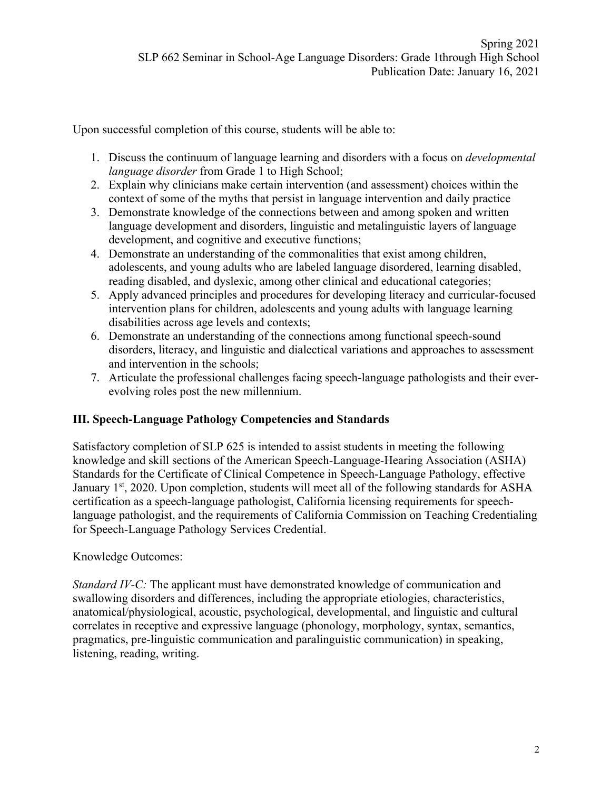Upon successful completion of this course, students will be able to:

- 1. Discuss the continuum of language learning and disorders with a focus on *developmental language disorder* from Grade 1 to High School;
- 2. Explain why clinicians make certain intervention (and assessment) choices within the context of some of the myths that persist in language intervention and daily practice
- 3. Demonstrate knowledge of the connections between and among spoken and written language development and disorders, linguistic and metalinguistic layers of language development, and cognitive and executive functions;
- 4. Demonstrate an understanding of the commonalities that exist among children, adolescents, and young adults who are labeled language disordered, learning disabled, reading disabled, and dyslexic, among other clinical and educational categories;
- 5. Apply advanced principles and procedures for developing literacy and curricular-focused intervention plans for children, adolescents and young adults with language learning disabilities across age levels and contexts;
- 6. Demonstrate an understanding of the connections among functional speech-sound disorders, literacy, and linguistic and dialectical variations and approaches to assessment and intervention in the schools;
- 7. Articulate the professional challenges facing speech-language pathologists and their everevolving roles post the new millennium.

## **III. Speech-Language Pathology Competencies and Standards**

Satisfactory completion of SLP 625 is intended to assist students in meeting the following knowledge and skill sections of the American Speech-Language-Hearing Association (ASHA) Standards for the Certificate of Clinical Competence in Speech-Language Pathology, effective January 1<sup>st</sup>, 2020. Upon completion, students will meet all of the following standards for ASHA certification as a speech-language pathologist, California licensing requirements for speechlanguage pathologist, and the requirements of California Commission on Teaching Credentialing for Speech-Language Pathology Services Credential.

Knowledge Outcomes:

*Standard IV-C:* The applicant must have demonstrated knowledge of communication and swallowing disorders and differences, including the appropriate etiologies, characteristics, anatomical/physiological, acoustic, psychological, developmental, and linguistic and cultural correlates in receptive and expressive language (phonology, morphology, syntax, semantics, pragmatics, pre-linguistic communication and paralinguistic communication) in speaking, listening, reading, writing.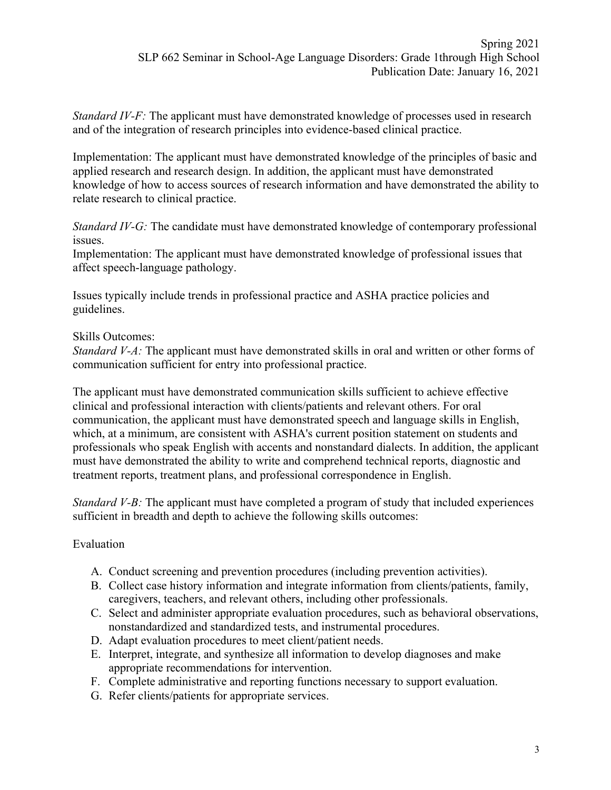*Standard IV-F*: The applicant must have demonstrated knowledge of processes used in research and of the integration of research principles into evidence-based clinical practice.

Implementation: The applicant must have demonstrated knowledge of the principles of basic and applied research and research design. In addition, the applicant must have demonstrated knowledge of how to access sources of research information and have demonstrated the ability to relate research to clinical practice.

*Standard IV-G:* The candidate must have demonstrated knowledge of contemporary professional issues.

Implementation: The applicant must have demonstrated knowledge of professional issues that affect speech-language pathology.

Issues typically include trends in professional practice and ASHA practice policies and guidelines.

#### Skills Outcomes:

*Standard V-A:* The applicant must have demonstrated skills in oral and written or other forms of communication sufficient for entry into professional practice.

The applicant must have demonstrated communication skills sufficient to achieve effective clinical and professional interaction with clients/patients and relevant others. For oral communication, the applicant must have demonstrated speech and language skills in English, which, at a minimum, are consistent with ASHA's current position statement on students and professionals who speak English with accents and nonstandard dialects. In addition, the applicant must have demonstrated the ability to write and comprehend technical reports, diagnostic and treatment reports, treatment plans, and professional correspondence in English.

*Standard V-B:* The applicant must have completed a program of study that included experiences sufficient in breadth and depth to achieve the following skills outcomes:

## Evaluation

- A. Conduct screening and prevention procedures (including prevention activities).
- B. Collect case history information and integrate information from clients/patients, family, caregivers, teachers, and relevant others, including other professionals.
- C. Select and administer appropriate evaluation procedures, such as behavioral observations, nonstandardized and standardized tests, and instrumental procedures.
- D. Adapt evaluation procedures to meet client/patient needs.
- E. Interpret, integrate, and synthesize all information to develop diagnoses and make appropriate recommendations for intervention.
- F. Complete administrative and reporting functions necessary to support evaluation.
- G. Refer clients/patients for appropriate services.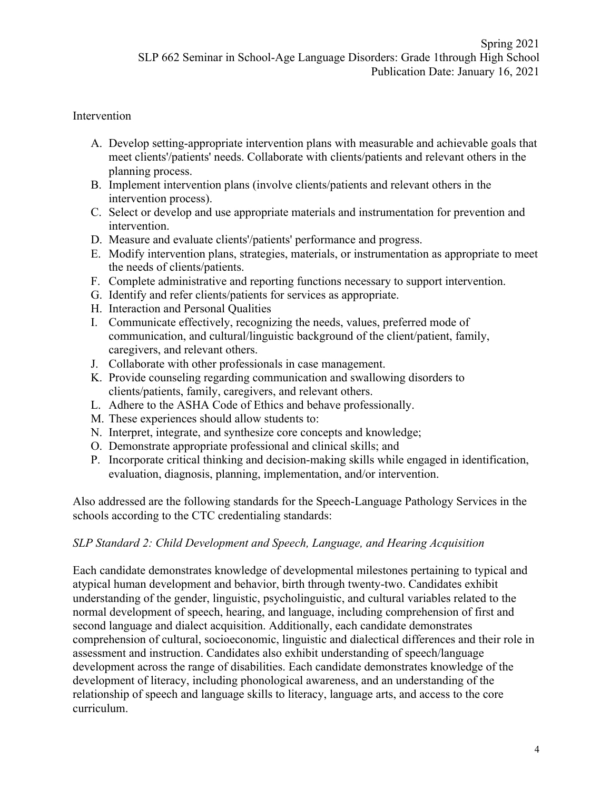### Intervention

- A. Develop setting-appropriate intervention plans with measurable and achievable goals that meet clients'/patients' needs. Collaborate with clients/patients and relevant others in the planning process.
- B. Implement intervention plans (involve clients/patients and relevant others in the intervention process).
- C. Select or develop and use appropriate materials and instrumentation for prevention and intervention.
- D. Measure and evaluate clients'/patients' performance and progress.
- E. Modify intervention plans, strategies, materials, or instrumentation as appropriate to meet the needs of clients/patients.
- F. Complete administrative and reporting functions necessary to support intervention.
- G. Identify and refer clients/patients for services as appropriate.
- H. Interaction and Personal Qualities
- I. Communicate effectively, recognizing the needs, values, preferred mode of communication, and cultural/linguistic background of the client/patient, family, caregivers, and relevant others.
- J. Collaborate with other professionals in case management.
- K. Provide counseling regarding communication and swallowing disorders to clients/patients, family, caregivers, and relevant others.
- L. Adhere to the ASHA Code of Ethics and behave professionally.
- M. These experiences should allow students to:
- N. Interpret, integrate, and synthesize core concepts and knowledge;
- O. Demonstrate appropriate professional and clinical skills; and
- P. Incorporate critical thinking and decision-making skills while engaged in identification, evaluation, diagnosis, planning, implementation, and/or intervention.

Also addressed are the following standards for the Speech-Language Pathology Services in the schools according to the CTC credentialing standards:

## *SLP Standard 2: Child Development and Speech, Language, and Hearing Acquisition*

Each candidate demonstrates knowledge of developmental milestones pertaining to typical and atypical human development and behavior, birth through twenty-two. Candidates exhibit understanding of the gender, linguistic, psycholinguistic, and cultural variables related to the normal development of speech, hearing, and language, including comprehension of first and second language and dialect acquisition. Additionally, each candidate demonstrates comprehension of cultural, socioeconomic, linguistic and dialectical differences and their role in assessment and instruction. Candidates also exhibit understanding of speech/language development across the range of disabilities. Each candidate demonstrates knowledge of the development of literacy, including phonological awareness, and an understanding of the relationship of speech and language skills to literacy, language arts, and access to the core curriculum.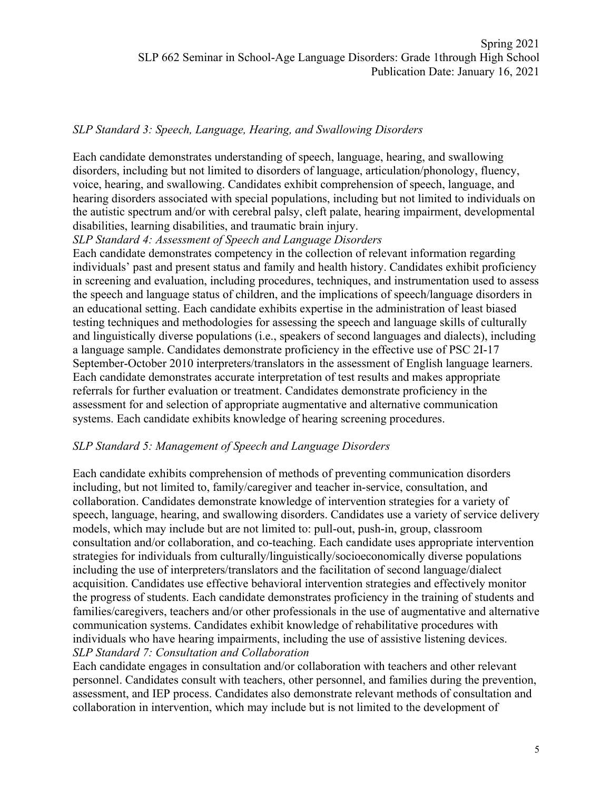#### *SLP Standard 3: Speech, Language, Hearing, and Swallowing Disorders*

Each candidate demonstrates understanding of speech, language, hearing, and swallowing disorders, including but not limited to disorders of language, articulation/phonology, fluency, voice, hearing, and swallowing. Candidates exhibit comprehension of speech, language, and hearing disorders associated with special populations, including but not limited to individuals on the autistic spectrum and/or with cerebral palsy, cleft palate, hearing impairment, developmental disabilities, learning disabilities, and traumatic brain injury.

#### *SLP Standard 4: Assessment of Speech and Language Disorders*

Each candidate demonstrates competency in the collection of relevant information regarding individuals' past and present status and family and health history. Candidates exhibit proficiency in screening and evaluation, including procedures, techniques, and instrumentation used to assess the speech and language status of children, and the implications of speech/language disorders in an educational setting. Each candidate exhibits expertise in the administration of least biased testing techniques and methodologies for assessing the speech and language skills of culturally and linguistically diverse populations (i.e., speakers of second languages and dialects), including a language sample. Candidates demonstrate proficiency in the effective use of PSC 2I-17 September-October 2010 interpreters/translators in the assessment of English language learners. Each candidate demonstrates accurate interpretation of test results and makes appropriate referrals for further evaluation or treatment. Candidates demonstrate proficiency in the assessment for and selection of appropriate augmentative and alternative communication systems. Each candidate exhibits knowledge of hearing screening procedures.

#### *SLP Standard 5: Management of Speech and Language Disorders*

Each candidate exhibits comprehension of methods of preventing communication disorders including, but not limited to, family/caregiver and teacher in-service, consultation, and collaboration. Candidates demonstrate knowledge of intervention strategies for a variety of speech, language, hearing, and swallowing disorders. Candidates use a variety of service delivery models, which may include but are not limited to: pull-out, push-in, group, classroom consultation and/or collaboration, and co-teaching. Each candidate uses appropriate intervention strategies for individuals from culturally/linguistically/socioeconomically diverse populations including the use of interpreters/translators and the facilitation of second language/dialect acquisition. Candidates use effective behavioral intervention strategies and effectively monitor the progress of students. Each candidate demonstrates proficiency in the training of students and families/caregivers, teachers and/or other professionals in the use of augmentative and alternative communication systems. Candidates exhibit knowledge of rehabilitative procedures with individuals who have hearing impairments, including the use of assistive listening devices. *SLP Standard 7: Consultation and Collaboration*

Each candidate engages in consultation and/or collaboration with teachers and other relevant personnel. Candidates consult with teachers, other personnel, and families during the prevention, assessment, and IEP process. Candidates also demonstrate relevant methods of consultation and collaboration in intervention, which may include but is not limited to the development of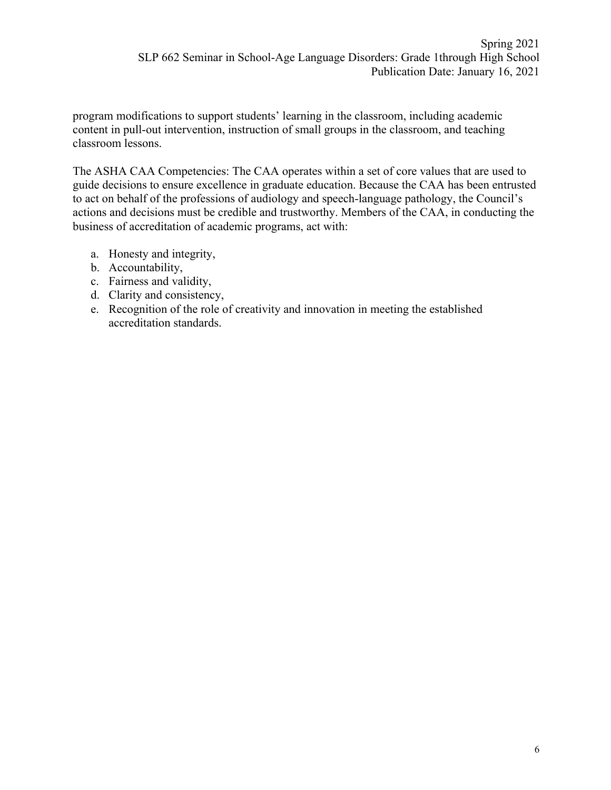program modifications to support students' learning in the classroom, including academic content in pull-out intervention, instruction of small groups in the classroom, and teaching classroom lessons.

The ASHA CAA Competencies: The CAA operates within a set of core values that are used to guide decisions to ensure excellence in graduate education. Because the CAA has been entrusted to act on behalf of the professions of audiology and speech-language pathology, the Council's actions and decisions must be credible and trustworthy. Members of the CAA, in conducting the business of accreditation of academic programs, act with:

- a. Honesty and integrity,
- b. Accountability,
- c. Fairness and validity,
- d. Clarity and consistency,
- e. Recognition of the role of creativity and innovation in meeting the established accreditation standards.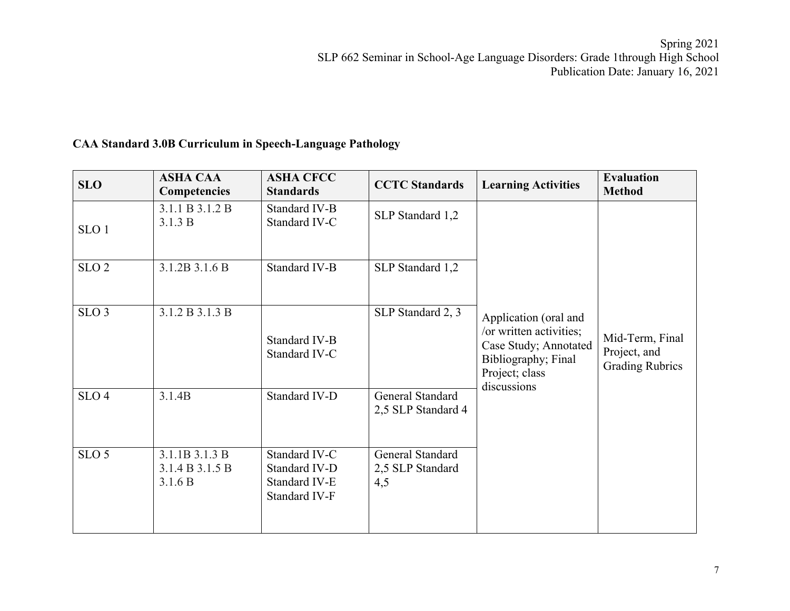## **CAA Standard 3.0B Curriculum in Speech-Language Pathology**

| <b>SLO</b>       | <b>ASHA CAA</b><br><b>Competencies</b>       | <b>ASHA CFCC</b><br><b>Standards</b>                             | <b>CCTC</b> Standards                       | <b>Learning Activities</b>                                                                                                        | <b>Evaluation</b><br><b>Method</b>                        |
|------------------|----------------------------------------------|------------------------------------------------------------------|---------------------------------------------|-----------------------------------------------------------------------------------------------------------------------------------|-----------------------------------------------------------|
| SLO <sub>1</sub> | 3.1.1 B 3.1.2 B<br>3.1.3 B                   | Standard IV-B<br>Standard IV-C                                   | SLP Standard 1,2                            |                                                                                                                                   |                                                           |
| SLO <sub>2</sub> | 3.1.2B 3.1.6 B                               | Standard IV-B                                                    | SLP Standard 1,2                            |                                                                                                                                   |                                                           |
| SLO <sub>3</sub> | 3.1.2 B 3.1.3 B                              | Standard IV-B<br>Standard IV-C                                   | SLP Standard 2, 3                           | Application (oral and<br>/or written activities;<br>Case Study; Annotated<br>Bibliography; Final<br>Project; class<br>discussions | Mid-Term, Final<br>Project, and<br><b>Grading Rubrics</b> |
| SLO <sub>4</sub> | 3.1.4B                                       | Standard IV-D                                                    | General Standard<br>2,5 SLP Standard 4      |                                                                                                                                   |                                                           |
| SLO <sub>5</sub> | 3.1.1B 3.1.3 B<br>3.1.4 B 3.1.5 B<br>3.1.6 B | Standard IV-C<br>Standard IV-D<br>Standard IV-E<br>Standard IV-F | General Standard<br>2,5 SLP Standard<br>4,5 |                                                                                                                                   |                                                           |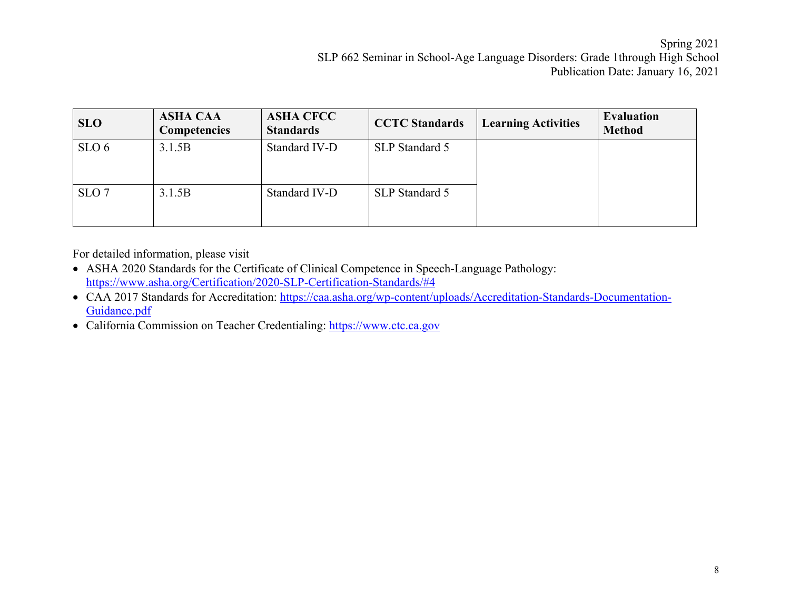| <b>SLO</b>       | <b>ASHA CAA</b><br><b>Competencies</b> | <b>ASHA CFCC</b><br><b>Standards</b> | <b>CCTC Standards</b> | <b>Learning Activities</b> | <b>Evaluation</b><br><b>Method</b> |
|------------------|----------------------------------------|--------------------------------------|-----------------------|----------------------------|------------------------------------|
| SLO <sub>6</sub> | 3.1.5B                                 | Standard IV-D                        | SLP Standard 5        |                            |                                    |
| SLO <sub>7</sub> | 3.1.5B                                 | Standard IV-D                        | SLP Standard 5        |                            |                                    |

For detailed information, please visit

- ASHA 2020 Standards for the Certificate of Clinical Competence in Speech-Language Pathology: https://www.asha.org/Certification/2020-SLP-Certification-Standards/#4
- CAA 2017 Standards for Accreditation: https://caa.asha.org/wp-content/uploads/Accreditation-Standards-Documentation-Guidance.pdf
- California Commission on Teacher Credentialing: https://www.ctc.ca.gov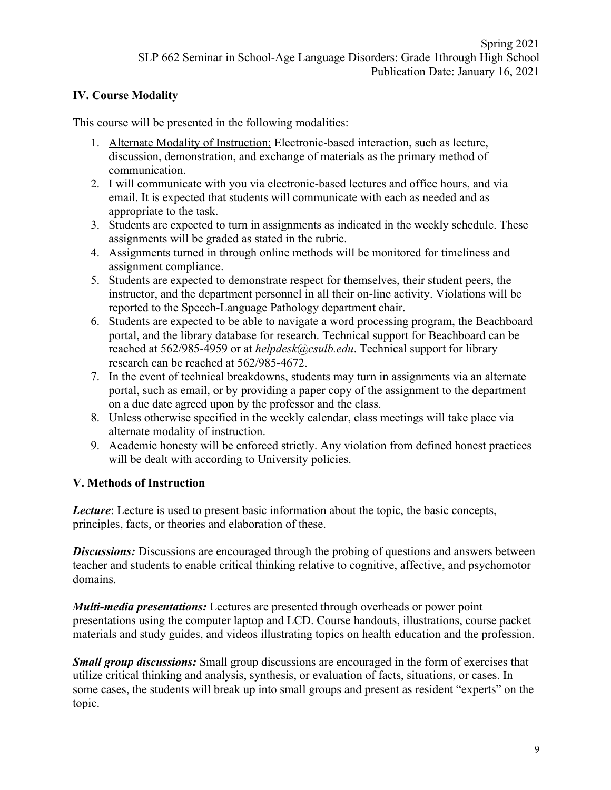### **IV. Course Modality**

This course will be presented in the following modalities:

- 1. Alternate Modality of Instruction: Electronic-based interaction, such as lecture, discussion, demonstration, and exchange of materials as the primary method of communication.
- 2. I will communicate with you via electronic-based lectures and office hours, and via email. It is expected that students will communicate with each as needed and as appropriate to the task.
- 3. Students are expected to turn in assignments as indicated in the weekly schedule. These assignments will be graded as stated in the rubric.
- 4. Assignments turned in through online methods will be monitored for timeliness and assignment compliance.
- 5. Students are expected to demonstrate respect for themselves, their student peers, the instructor, and the department personnel in all their on-line activity. Violations will be reported to the Speech-Language Pathology department chair.
- 6. Students are expected to be able to navigate a word processing program, the Beachboard portal, and the library database for research. Technical support for Beachboard can be reached at 562/985-4959 or at *helpdesk@csulb.edu*. Technical support for library research can be reached at 562/985-4672.
- 7. In the event of technical breakdowns, students may turn in assignments via an alternate portal, such as email, or by providing a paper copy of the assignment to the department on a due date agreed upon by the professor and the class.
- 8. Unless otherwise specified in the weekly calendar, class meetings will take place via alternate modality of instruction.
- 9. Academic honesty will be enforced strictly. Any violation from defined honest practices will be dealt with according to University policies.

#### **V. Methods of Instruction**

*Lecture*: Lecture is used to present basic information about the topic, the basic concepts, principles, facts, or theories and elaboration of these.

**Discussions:** Discussions are encouraged through the probing of questions and answers between teacher and students to enable critical thinking relative to cognitive, affective, and psychomotor domains.

*Multi-media presentations:* Lectures are presented through overheads or power point presentations using the computer laptop and LCD. Course handouts, illustrations, course packet materials and study guides, and videos illustrating topics on health education and the profession.

*Small group discussions:* Small group discussions are encouraged in the form of exercises that utilize critical thinking and analysis, synthesis, or evaluation of facts, situations, or cases. In some cases, the students will break up into small groups and present as resident "experts" on the topic.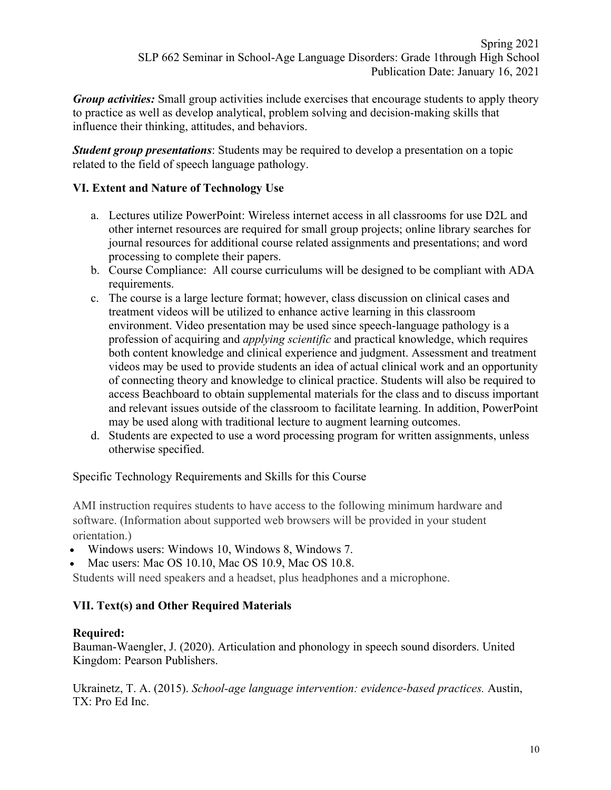*Group activities:* Small group activities include exercises that encourage students to apply theory to practice as well as develop analytical, problem solving and decision-making skills that influence their thinking, attitudes, and behaviors.

*Student group presentations*: Students may be required to develop a presentation on a topic related to the field of speech language pathology.

### **VI. Extent and Nature of Technology Use**

- a. Lectures utilize PowerPoint: Wireless internet access in all classrooms for use D2L and other internet resources are required for small group projects; online library searches for journal resources for additional course related assignments and presentations; and word processing to complete their papers.
- b. Course Compliance: All course curriculums will be designed to be compliant with ADA requirements.
- c. The course is a large lecture format; however, class discussion on clinical cases and treatment videos will be utilized to enhance active learning in this classroom environment. Video presentation may be used since speech-language pathology is a profession of acquiring and *applying scientific* and practical knowledge, which requires both content knowledge and clinical experience and judgment. Assessment and treatment videos may be used to provide students an idea of actual clinical work and an opportunity of connecting theory and knowledge to clinical practice. Students will also be required to access Beachboard to obtain supplemental materials for the class and to discuss important and relevant issues outside of the classroom to facilitate learning. In addition, PowerPoint may be used along with traditional lecture to augment learning outcomes.
- d. Students are expected to use a word processing program for written assignments, unless otherwise specified.

Specific Technology Requirements and Skills for this Course

AMI instruction requires students to have access to the following minimum hardware and software. (Information about supported web browsers will be provided in your student orientation.)

- Windows users: Windows 10, Windows 8, Windows 7.
- Mac users: Mac OS 10.10, Mac OS 10.9, Mac OS 10.8.

Students will need speakers and a headset, plus headphones and a microphone.

## **VII. Text(s) and Other Required Materials**

#### **Required:**

Bauman-Waengler, J. (2020). Articulation and phonology in speech sound disorders. United Kingdom: Pearson Publishers.

Ukrainetz, T. A. (2015). *School-age language intervention: evidence-based practices.* Austin, TX: Pro Ed Inc.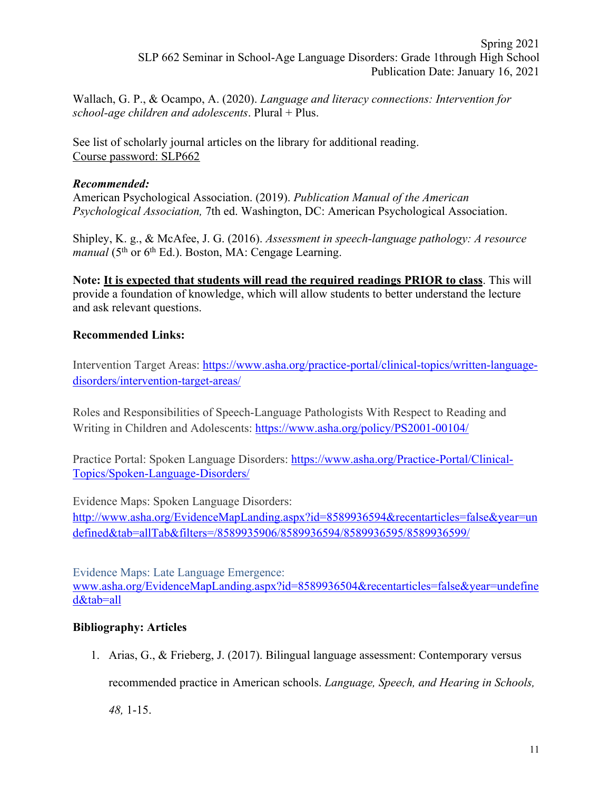Wallach, G. P., & Ocampo, A. (2020). *Language and literacy connections: Intervention for school-age children and adolescents*. Plural + Plus.

See list of scholarly journal articles on the library for additional reading. Course password: SLP662

### *Recommended:*

American Psychological Association. (2019). *Publication Manual of the American Psychological Association,* 7th ed. Washington, DC: American Psychological Association.

Shipley, K. g., & McAfee, J. G. (2016). *Assessment in speech-language pathology: A resource manual* (5<sup>th</sup> or 6<sup>th</sup> Ed.). Boston, MA: Cengage Learning.

**Note: It is expected that students will read the required readings PRIOR to class**. This will provide a foundation of knowledge, which will allow students to better understand the lecture and ask relevant questions.

## **Recommended Links:**

Intervention Target Areas: https://www.asha.org/practice-portal/clinical-topics/written-languagedisorders/intervention-target-areas/

Roles and Responsibilities of Speech-Language Pathologists With Respect to Reading and Writing in Children and Adolescents: https://www.asha.org/policy/PS2001-00104/

Practice Portal: Spoken Language Disorders: https://www.asha.org/Practice-Portal/Clinical-Topics/Spoken-Language-Disorders/

Evidence Maps: Spoken Language Disorders:

http://www.asha.org/EvidenceMapLanding.aspx?id=8589936594&recentarticles=false&year=un defined&tab=allTab&filters=/8589935906/8589936594/8589936595/8589936599/

Evidence Maps: Late Language Emergence: www.asha.org/EvidenceMapLanding.aspx?id=8589936504&recentarticles=false&year=undefine d&tab=all

## **Bibliography: Articles**

1. Arias, G., & Frieberg, J. (2017). Bilingual language assessment: Contemporary versus

recommended practice in American schools. *Language, Speech, and Hearing in Schools,* 

*48,* 1-15.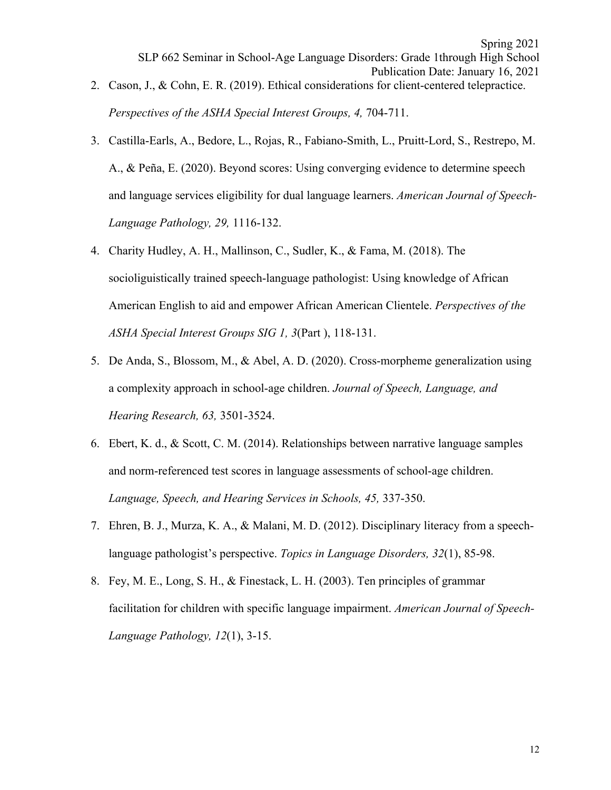3. Castilla-Earls, A., Bedore, L., Rojas, R., Fabiano-Smith, L., Pruitt-Lord, S., Restrepo, M. A., & Peña, E. (2020). Beyond scores: Using converging evidence to determine speech and language services eligibility for dual language learners. *American Journal of Speech-Language Pathology, 29,* 1116-132.

*Perspectives of the ASHA Special Interest Groups, 4, 704-711.* 

- 4. Charity Hudley, A. H., Mallinson, C., Sudler, K., & Fama, M. (2018). The socioliguistically trained speech-language pathologist: Using knowledge of African American English to aid and empower African American Clientele. *Perspectives of the ASHA Special Interest Groups SIG 1, 3*(Part ), 118-131.
- 5. De Anda, S., Blossom, M., & Abel, A. D. (2020). Cross-morpheme generalization using a complexity approach in school-age children. *Journal of Speech, Language, and Hearing Research, 63,* 3501-3524.
- 6. Ebert, K. d., & Scott, C. M. (2014). Relationships between narrative language samples and norm-referenced test scores in language assessments of school-age children. *Language, Speech, and Hearing Services in Schools, 45,* 337-350.
- 7. Ehren, B. J., Murza, K. A., & Malani, M. D. (2012). Disciplinary literacy from a speechlanguage pathologist's perspective. *Topics in Language Disorders, 32*(1), 85-98.
- 8. Fey, M. E., Long, S. H., & Finestack, L. H. (2003). Ten principles of grammar facilitation for children with specific language impairment. *American Journal of Speech-Language Pathology, 12*(1), 3-15.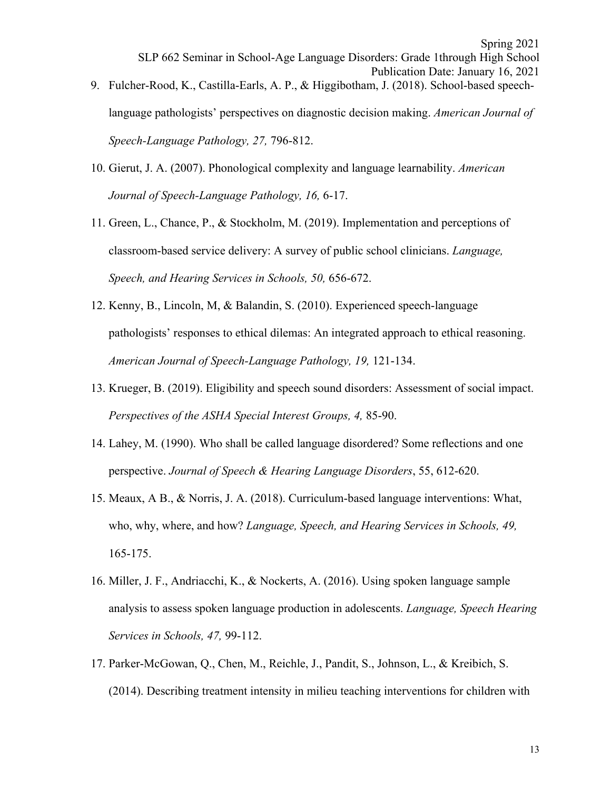- language pathologists' perspectives on diagnostic decision making. *American Journal of Speech-Language Pathology, 27,* 796-812.
- 10. Gierut, J. A. (2007). Phonological complexity and language learnability. *American Journal of Speech-Language Pathology, 16,* 6-17.
- 11. Green, L., Chance, P., & Stockholm, M. (2019). Implementation and perceptions of classroom-based service delivery: A survey of public school clinicians. *Language, Speech, and Hearing Services in Schools, 50,* 656-672.
- 12. Kenny, B., Lincoln, M, & Balandin, S. (2010). Experienced speech-language pathologists' responses to ethical dilemas: An integrated approach to ethical reasoning. *American Journal of Speech-Language Pathology, 19,* 121-134.
- 13. Krueger, B. (2019). Eligibility and speech sound disorders: Assessment of social impact. *Perspectives of the ASHA Special Interest Groups, 4,* 85-90.
- 14. Lahey, M. (1990). Who shall be called language disordered? Some reflections and one perspective. *Journal of Speech & Hearing Language Disorders*, 55, 612-620.
- 15. Meaux, A B., & Norris, J. A. (2018). Curriculum-based language interventions: What, who, why, where, and how? *Language, Speech, and Hearing Services in Schools, 49,*  165-175.
- 16. Miller, J. F., Andriacchi, K., & Nockerts, A. (2016). Using spoken language sample analysis to assess spoken language production in adolescents. *Language, Speech Hearing Services in Schools, 47,* 99-112.
- 17. Parker-McGowan, Q., Chen, M., Reichle, J., Pandit, S., Johnson, L., & Kreibich, S. (2014). Describing treatment intensity in milieu teaching interventions for children with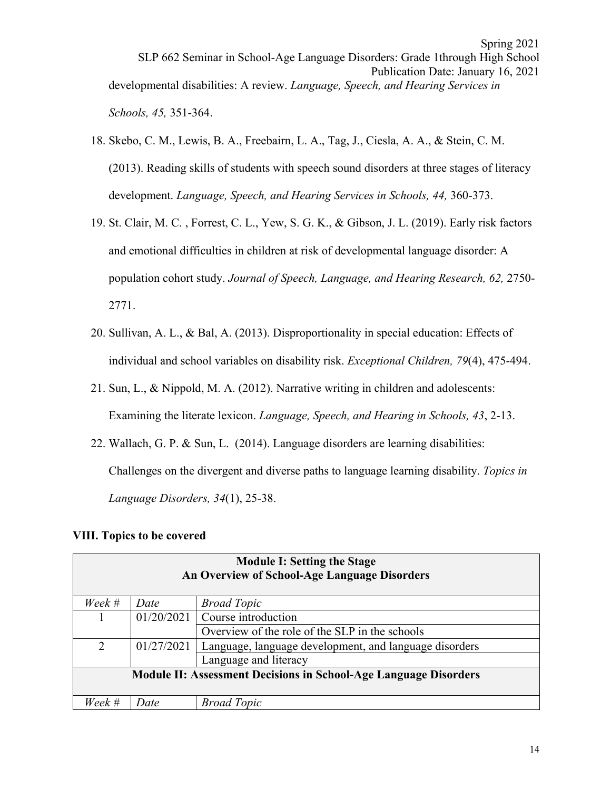- 18. Skebo, C. M., Lewis, B. A., Freebairn, L. A., Tag, J., Ciesla, A. A., & Stein, C. M. (2013). Reading skills of students with speech sound disorders at three stages of literacy development. *Language, Speech, and Hearing Services in Schools, 44,* 360-373.
- 19. St. Clair, M. C. , Forrest, C. L., Yew, S. G. K., & Gibson, J. L. (2019). Early risk factors and emotional difficulties in children at risk of developmental language disorder: A population cohort study. *Journal of Speech, Language, and Hearing Research, 62,* 2750- 2771.
- 20. Sullivan, A. L., & Bal, A. (2013). Disproportionality in special education: Effects of individual and school variables on disability risk. *Exceptional Children, 79*(4), 475-494.
- 21. Sun, L., & Nippold, M. A. (2012). Narrative writing in children and adolescents: Examining the literate lexicon. *Language, Speech, and Hearing in Schools, 43*, 2-13.
- 22. Wallach, G. P. & Sun, L. (2014). Language disorders are learning disabilities: Challenges on the divergent and diverse paths to language learning disability. *Topics in Language Disorders, 34*(1), 25-38.

#### **VIII. Topics to be covered**

| <b>Module I: Setting the Stage</b><br>An Overview of School-Age Language Disorders |                       |                                                        |  |  |  |  |
|------------------------------------------------------------------------------------|-----------------------|--------------------------------------------------------|--|--|--|--|
| Week #                                                                             | Date                  | <b>Broad Topic</b>                                     |  |  |  |  |
|                                                                                    | 01/20/2021            | Course introduction                                    |  |  |  |  |
|                                                                                    |                       | Overview of the role of the SLP in the schools         |  |  |  |  |
| $\overline{2}$                                                                     | 01/27/2021            | Language, language development, and language disorders |  |  |  |  |
|                                                                                    | Language and literacy |                                                        |  |  |  |  |
| <b>Module II: Assessment Decisions in School-Age Language Disorders</b>            |                       |                                                        |  |  |  |  |
| Week #                                                                             | Date                  | <b>Broad Topic</b>                                     |  |  |  |  |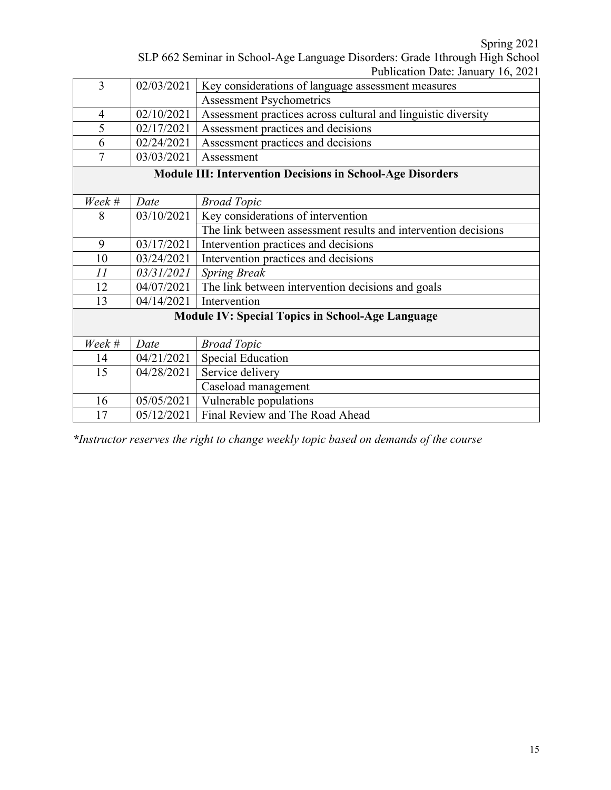Spring 2021

|                                                                              | $\omega$ pring $\omega$ $\omega$   |
|------------------------------------------------------------------------------|------------------------------------|
| SLP 662 Seminar in School-Age Language Disorders: Grade 1through High School |                                    |
|                                                                              | Publication Date: January 16, 2021 |

|                |            | $\Gamma$ uvilcation Date. January 10, 2021                        |
|----------------|------------|-------------------------------------------------------------------|
| 3              | 02/03/2021 | Key considerations of language assessment measures                |
|                |            | <b>Assessment Psychometrics</b>                                   |
| $\overline{4}$ | 02/10/2021 | Assessment practices across cultural and linguistic diversity     |
| 5              | 02/17/2021 | Assessment practices and decisions                                |
| 6              | 02/24/2021 | Assessment practices and decisions                                |
| 7              | 03/03/2021 | Assessment                                                        |
|                |            | <b>Module III: Intervention Decisions in School-Age Disorders</b> |
|                |            |                                                                   |
| Week #         | Date       | <b>Broad Topic</b>                                                |
| 8              | 03/10/2021 | Key considerations of intervention                                |
|                |            | The link between assessment results and intervention decisions    |
| 9              | 03/17/2021 | Intervention practices and decisions                              |
| 10             | 03/24/2021 | Intervention practices and decisions                              |
| 11             | 03/31/2021 | <b>Spring Break</b>                                               |
| 12             | 04/07/2021 | The link between intervention decisions and goals                 |
| 13             | 04/14/2021 | Intervention                                                      |
|                |            | <b>Module IV: Special Topics in School-Age Language</b>           |
|                |            |                                                                   |
| Week #         | Date       | <b>Broad Topic</b>                                                |
| 14             | 04/21/2021 | <b>Special Education</b>                                          |
| 15             | 04/28/2021 | Service delivery                                                  |
|                |            | Caseload management                                               |
| 16             | 05/05/2021 | Vulnerable populations                                            |
| 17             | 05/12/2021 | Final Review and The Road Ahead                                   |

*\*Instructor reserves the right to change weekly topic based on demands of the course*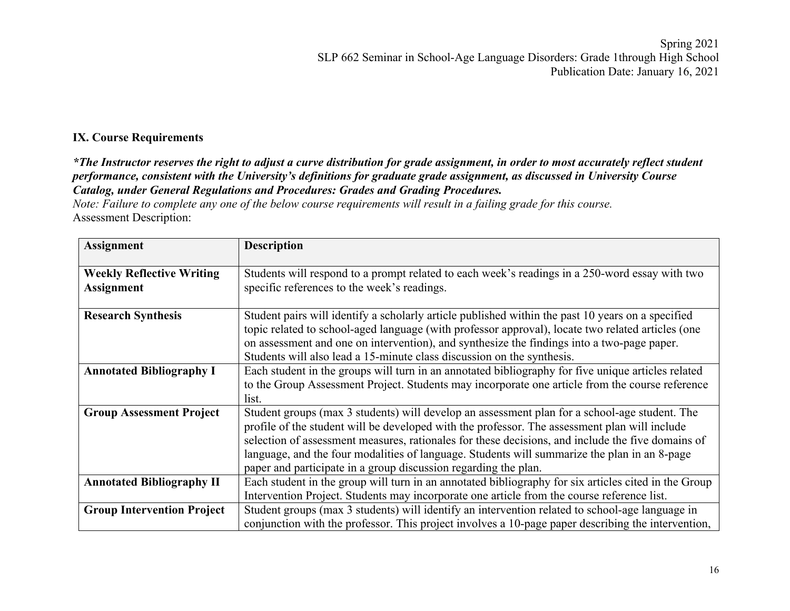#### **IX. Course Requirements**

*\*The Instructor reserves the right to adjust a curve distribution for grade assignment, in order to most accurately reflect student performance, consistent with the University's definitions for graduate grade assignment, as discussed in University Course Catalog, under General Regulations and Procedures: Grades and Grading Procedures.*

*Note: Failure to complete any one of the below course requirements will result in a failing grade for this course.* Assessment Description:

| <b>Assignment</b>                                     | <b>Description</b>                                                                                                                                                                                                                                                                                                                                                                                                                                                     |
|-------------------------------------------------------|------------------------------------------------------------------------------------------------------------------------------------------------------------------------------------------------------------------------------------------------------------------------------------------------------------------------------------------------------------------------------------------------------------------------------------------------------------------------|
| <b>Weekly Reflective Writing</b><br><b>Assignment</b> | Students will respond to a prompt related to each week's readings in a 250-word essay with two<br>specific references to the week's readings.                                                                                                                                                                                                                                                                                                                          |
| <b>Research Synthesis</b>                             | Student pairs will identify a scholarly article published within the past 10 years on a specified<br>topic related to school-aged language (with professor approval), locate two related articles (one<br>on assessment and one on intervention), and synthesize the findings into a two-page paper.<br>Students will also lead a 15-minute class discussion on the synthesis.                                                                                         |
| <b>Annotated Bibliography I</b>                       | Each student in the groups will turn in an annotated bibliography for five unique articles related<br>to the Group Assessment Project. Students may incorporate one article from the course reference<br>list.                                                                                                                                                                                                                                                         |
| <b>Group Assessment Project</b>                       | Student groups (max 3 students) will develop an assessment plan for a school-age student. The<br>profile of the student will be developed with the professor. The assessment plan will include<br>selection of assessment measures, rationales for these decisions, and include the five domains of<br>language, and the four modalities of language. Students will summarize the plan in an 8-page<br>paper and participate in a group discussion regarding the plan. |
| <b>Annotated Bibliography II</b>                      | Each student in the group will turn in an annotated bibliography for six articles cited in the Group<br>Intervention Project. Students may incorporate one article from the course reference list.                                                                                                                                                                                                                                                                     |
| <b>Group Intervention Project</b>                     | Student groups (max 3 students) will identify an intervention related to school-age language in<br>conjunction with the professor. This project involves a 10-page paper describing the intervention,                                                                                                                                                                                                                                                                  |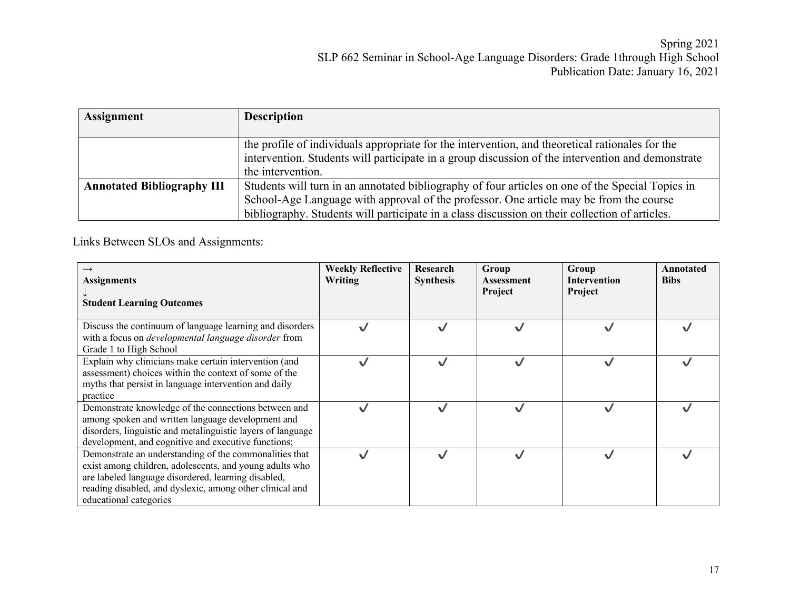| <b>Assignment</b>                 | <b>Description</b>                                                                                                                                                                                   |
|-----------------------------------|------------------------------------------------------------------------------------------------------------------------------------------------------------------------------------------------------|
|                                   | the profile of individuals appropriate for the intervention, and theoretical rationales for the<br>intervention. Students will participate in a group discussion of the intervention and demonstrate |
|                                   | the intervention.                                                                                                                                                                                    |
| <b>Annotated Bibliography III</b> | Students will turn in an annotated bibliography of four articles on one of the Special Topics in                                                                                                     |
|                                   | School-Age Language with approval of the professor. One article may be from the course                                                                                                               |
|                                   | bibliography. Students will participate in a class discussion on their collection of articles.                                                                                                       |

Links Between SLOs and Assignments:

| $\rightarrow$<br><b>Assignments</b><br><b>Student Learning Outcomes</b>                                                                                                                                                                                        | <b>Weekly Reflective</b><br><b>Writing</b> | Research<br><b>Synthesis</b> | Group<br><b>Assessment</b><br>Project | Group<br><b>Intervention</b><br>Project | Annotated<br><b>Bibs</b> |
|----------------------------------------------------------------------------------------------------------------------------------------------------------------------------------------------------------------------------------------------------------------|--------------------------------------------|------------------------------|---------------------------------------|-----------------------------------------|--------------------------|
| Discuss the continuum of language learning and disorders<br>with a focus on <i>developmental language disorder</i> from<br>Grade 1 to High School                                                                                                              |                                            | ✓                            |                                       |                                         |                          |
| Explain why clinicians make certain intervention (and<br>assessment) choices within the context of some of the<br>myths that persist in language intervention and daily<br>practice                                                                            |                                            | $\checkmark$                 |                                       |                                         |                          |
| Demonstrate knowledge of the connections between and<br>among spoken and written language development and<br>disorders, linguistic and metalinguistic layers of language<br>development, and cognitive and executive functions;                                |                                            | $\checkmark$                 |                                       |                                         |                          |
| Demonstrate an understanding of the commonalities that<br>exist among children, adolescents, and young adults who<br>are labeled language disordered, learning disabled,<br>reading disabled, and dyslexic, among other clinical and<br>educational categories |                                            | $\checkmark$                 |                                       |                                         |                          |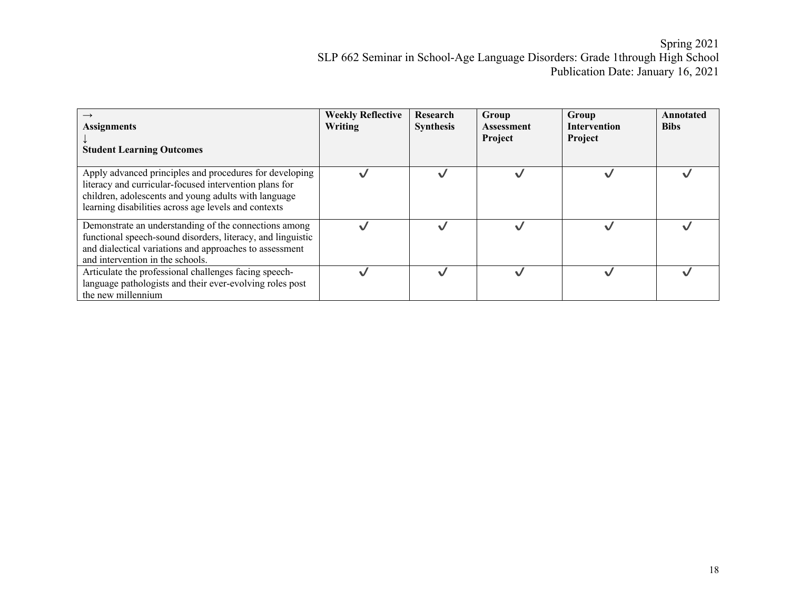| <b>Assignments</b><br><b>Student Learning Outcomes</b>                                                                                                                                                                            | <b>Weekly Reflective</b><br>Writing | Research<br><b>Synthesis</b> | Group<br><b>Assessment</b><br>Project | Group<br><b>Intervention</b><br>Project | Annotated<br><b>Bibs</b> |
|-----------------------------------------------------------------------------------------------------------------------------------------------------------------------------------------------------------------------------------|-------------------------------------|------------------------------|---------------------------------------|-----------------------------------------|--------------------------|
| Apply advanced principles and procedures for developing<br>literacy and curricular-focused intervention plans for<br>children, adolescents and young adults with language<br>learning disabilities across age levels and contexts |                                     |                              |                                       |                                         |                          |
| Demonstrate an understanding of the connections among<br>functional speech-sound disorders, literacy, and linguistic<br>and dialectical variations and approaches to assessment<br>and intervention in the schools.               |                                     |                              |                                       |                                         |                          |
| Articulate the professional challenges facing speech-<br>language pathologists and their ever-evolving roles post<br>the new millennium                                                                                           |                                     |                              |                                       |                                         |                          |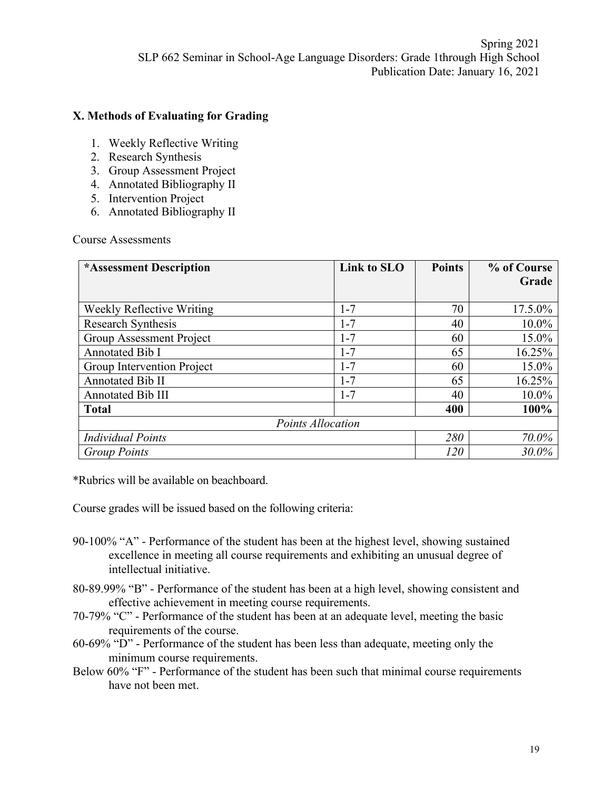### **X. Methods of Evaluating for Grading**

- 1. Weekly Reflective Writing
- 2. Research Synthesis
- 3. Group Assessment Project
- 4. Annotated Bibliography II
- 5. Intervention Project
- 6. Annotated Bibliography II

Course Assessments

| *Assessment Description          | Link to SLO | <b>Points</b> | % of Course |
|----------------------------------|-------------|---------------|-------------|
|                                  |             |               | Grade       |
| <b>Weekly Reflective Writing</b> | $1 - 7$     | 70            | 17.5.0%     |
| Research Synthesis               | $1 - 7$     | 40            | $10.0\%$    |
| Group Assessment Project         | $1 - 7$     | 60            | 15.0%       |
| Annotated Bib I                  | $1 - 7$     | 65            | 16.25%      |
| Group Intervention Project       | $1 - 7$     | 60            | 15.0%       |
| Annotated Bib II                 | $1 - 7$     | 65            | 16.25%      |
| <b>Annotated Bib III</b>         | $1 - 7$     | 40            | 10.0%       |
| <b>Total</b>                     |             | 400           | 100%        |
| <b>Points Allocation</b>         |             |               |             |
| <b>Individual Points</b>         |             | 280           | 70.0%       |
| <b>Group Points</b>              |             | 120           | $30.0\%$    |

\*Rubrics will be available on beachboard.

Course grades will be issued based on the following criteria:

- 90-100% "A" Performance of the student has been at the highest level, showing sustained excellence in meeting all course requirements and exhibiting an unusual degree of intellectual initiative.
- 80-89.99% "B" Performance of the student has been at a high level, showing consistent and effective achievement in meeting course requirements.
- 70-79% "C" Performance of the student has been at an adequate level, meeting the basic requirements of the course.
- 60-69% "D" Performance of the student has been less than adequate, meeting only the minimum course requirements.
- Below 60% "F" Performance of the student has been such that minimal course requirements have not been met.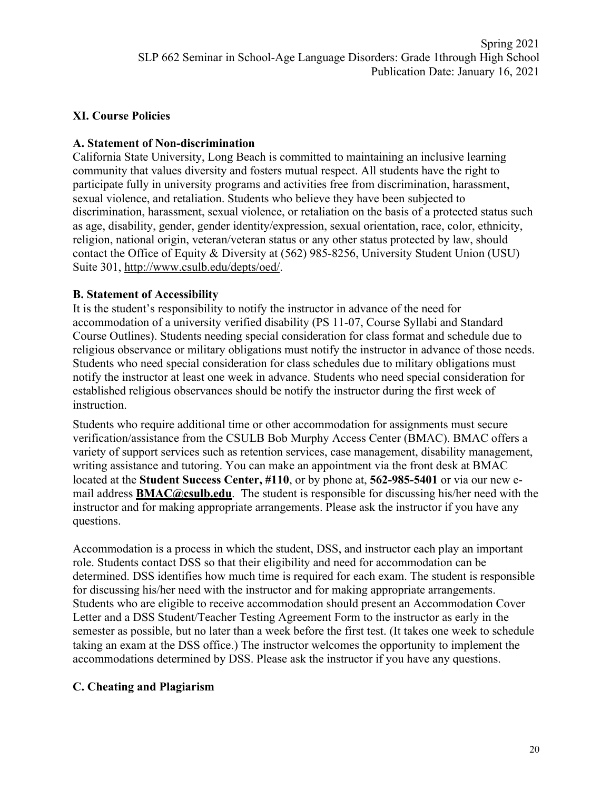## **XI. Course Policies**

### **A. Statement of Non-discrimination**

California State University, Long Beach is committed to maintaining an inclusive learning community that values diversity and fosters mutual respect. All students have the right to participate fully in university programs and activities free from discrimination, harassment, sexual violence, and retaliation. Students who believe they have been subjected to discrimination, harassment, sexual violence, or retaliation on the basis of a protected status such as age, disability, gender, gender identity/expression, sexual orientation, race, color, ethnicity, religion, national origin, veteran/veteran status or any other status protected by law, should contact the Office of Equity & Diversity at (562) 985-8256, University Student Union (USU) Suite 301, http://www.csulb.edu/depts/oed/.

### **B. Statement of Accessibility**

It is the student's responsibility to notify the instructor in advance of the need for accommodation of a university verified disability (PS 11-07, Course Syllabi and Standard Course Outlines). Students needing special consideration for class format and schedule due to religious observance or military obligations must notify the instructor in advance of those needs. Students who need special consideration for class schedules due to military obligations must notify the instructor at least one week in advance. Students who need special consideration for established religious observances should be notify the instructor during the first week of instruction.

Students who require additional time or other accommodation for assignments must secure verification/assistance from the CSULB Bob Murphy Access Center (BMAC). BMAC offers a variety of support services such as retention services, case management, disability management, writing assistance and tutoring. You can make an appointment via the front desk at BMAC located at the **Student Success Center, #110**, or by phone at, **562-985-5401** or via our new email address **BMAC@csulb.edu**. The student is responsible for discussing his/her need with the instructor and for making appropriate arrangements. Please ask the instructor if you have any questions.

Accommodation is a process in which the student, DSS, and instructor each play an important role. Students contact DSS so that their eligibility and need for accommodation can be determined. DSS identifies how much time is required for each exam. The student is responsible for discussing his/her need with the instructor and for making appropriate arrangements. Students who are eligible to receive accommodation should present an Accommodation Cover Letter and a DSS Student/Teacher Testing Agreement Form to the instructor as early in the semester as possible, but no later than a week before the first test. (It takes one week to schedule taking an exam at the DSS office.) The instructor welcomes the opportunity to implement the accommodations determined by DSS. Please ask the instructor if you have any questions.

## **C. Cheating and Plagiarism**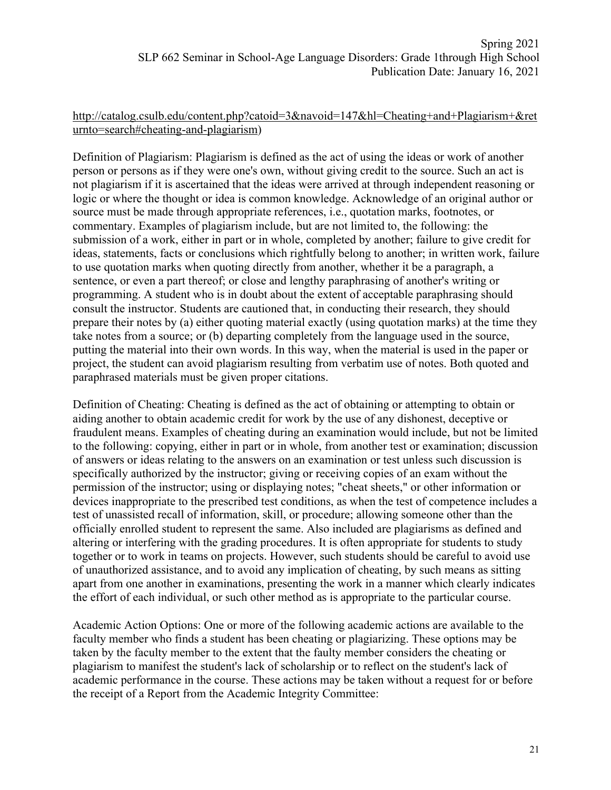#### http://catalog.csulb.edu/content.php?catoid=3&navoid=147&hl=Cheating+and+Plagiarism+&ret urnto=search#cheating-and-plagiarism)

Definition of Plagiarism: Plagiarism is defined as the act of using the ideas or work of another person or persons as if they were one's own, without giving credit to the source. Such an act is not plagiarism if it is ascertained that the ideas were arrived at through independent reasoning or logic or where the thought or idea is common knowledge. Acknowledge of an original author or source must be made through appropriate references, i.e., quotation marks, footnotes, or commentary. Examples of plagiarism include, but are not limited to, the following: the submission of a work, either in part or in whole, completed by another; failure to give credit for ideas, statements, facts or conclusions which rightfully belong to another; in written work, failure to use quotation marks when quoting directly from another, whether it be a paragraph, a sentence, or even a part thereof; or close and lengthy paraphrasing of another's writing or programming. A student who is in doubt about the extent of acceptable paraphrasing should consult the instructor. Students are cautioned that, in conducting their research, they should prepare their notes by (a) either quoting material exactly (using quotation marks) at the time they take notes from a source; or (b) departing completely from the language used in the source, putting the material into their own words. In this way, when the material is used in the paper or project, the student can avoid plagiarism resulting from verbatim use of notes. Both quoted and paraphrased materials must be given proper citations.

Definition of Cheating: Cheating is defined as the act of obtaining or attempting to obtain or aiding another to obtain academic credit for work by the use of any dishonest, deceptive or fraudulent means. Examples of cheating during an examination would include, but not be limited to the following: copying, either in part or in whole, from another test or examination; discussion of answers or ideas relating to the answers on an examination or test unless such discussion is specifically authorized by the instructor; giving or receiving copies of an exam without the permission of the instructor; using or displaying notes; "cheat sheets," or other information or devices inappropriate to the prescribed test conditions, as when the test of competence includes a test of unassisted recall of information, skill, or procedure; allowing someone other than the officially enrolled student to represent the same. Also included are plagiarisms as defined and altering or interfering with the grading procedures. It is often appropriate for students to study together or to work in teams on projects. However, such students should be careful to avoid use of unauthorized assistance, and to avoid any implication of cheating, by such means as sitting apart from one another in examinations, presenting the work in a manner which clearly indicates the effort of each individual, or such other method as is appropriate to the particular course.

Academic Action Options: One or more of the following academic actions are available to the faculty member who finds a student has been cheating or plagiarizing. These options may be taken by the faculty member to the extent that the faulty member considers the cheating or plagiarism to manifest the student's lack of scholarship or to reflect on the student's lack of academic performance in the course. These actions may be taken without a request for or before the receipt of a Report from the Academic Integrity Committee: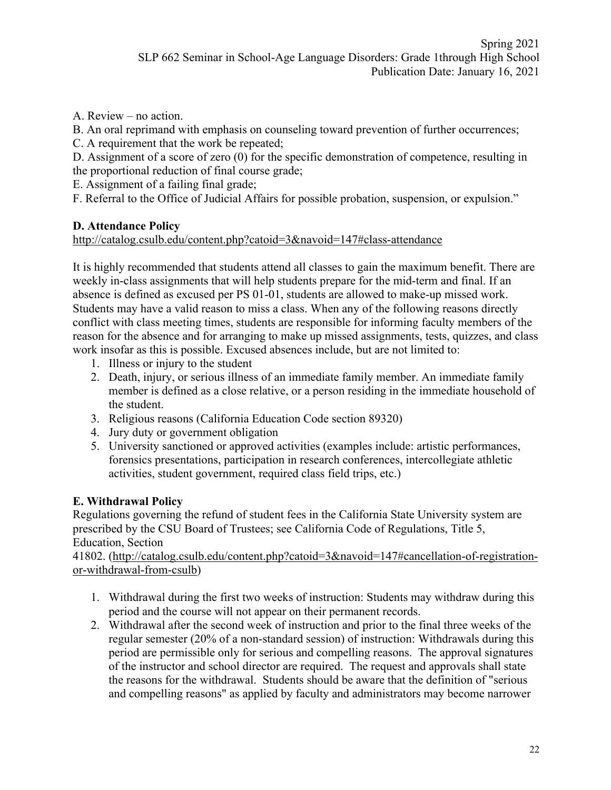A. Review – no action.

B. An oral reprimand with emphasis on counseling toward prevention of further occurrences;

C. A requirement that the work be repeated;

D. Assignment of a score of zero (0) for the specific demonstration of competence, resulting in the proportional reduction of final course grade;

E. Assignment of a failing final grade;

F. Referral to the Office of Judicial Affairs for possible probation, suspension, or expulsion."

# **D. Attendance Policy**

http://catalog.csulb.edu/content.php?catoid=3&navoid=147#class-attendance

It is highly recommended that students attend all classes to gain the maximum benefit. There are weekly in-class assignments that will help students prepare for the mid-term and final. If an absence is defined as excused per PS 01-01, students are allowed to make-up missed work. Students may have a valid reason to miss a class. When any of the following reasons directly conflict with class meeting times, students are responsible for informing faculty members of the reason for the absence and for arranging to make up missed assignments, tests, quizzes, and class work insofar as this is possible. Excused absences include, but are not limited to:

- 1. Illness or injury to the student
- 2. Death, injury, or serious illness of an immediate family member. An immediate family member is defined as a close relative, or a person residing in the immediate household of the student.
- 3. Religious reasons (California Education Code section 89320)
- 4. Jury duty or government obligation
- 5. University sanctioned or approved activities (examples include: artistic performances, forensics presentations, participation in research conferences, intercollegiate athletic activities, student government, required class field trips, etc.)

# **E. Withdrawal Policy**

Regulations governing the refund of student fees in the California State University system are prescribed by the CSU Board of Trustees; see California Code of Regulations, Title 5, Education, Section

41802. (http://catalog.csulb.edu/content.php?catoid=3&navoid=147#cancellation-of-registrationor-withdrawal-from-csulb)

- 1. Withdrawal during the first two weeks of instruction: Students may withdraw during this period and the course will not appear on their permanent records.
- 2. Withdrawal after the second week of instruction and prior to the final three weeks of the regular semester (20% of a non-standard session) of instruction: Withdrawals during this period are permissible only for serious and compelling reasons. The approval signatures of the instructor and school director are required. The request and approvals shall state the reasons for the withdrawal. Students should be aware that the definition of "serious and compelling reasons" as applied by faculty and administrators may become narrower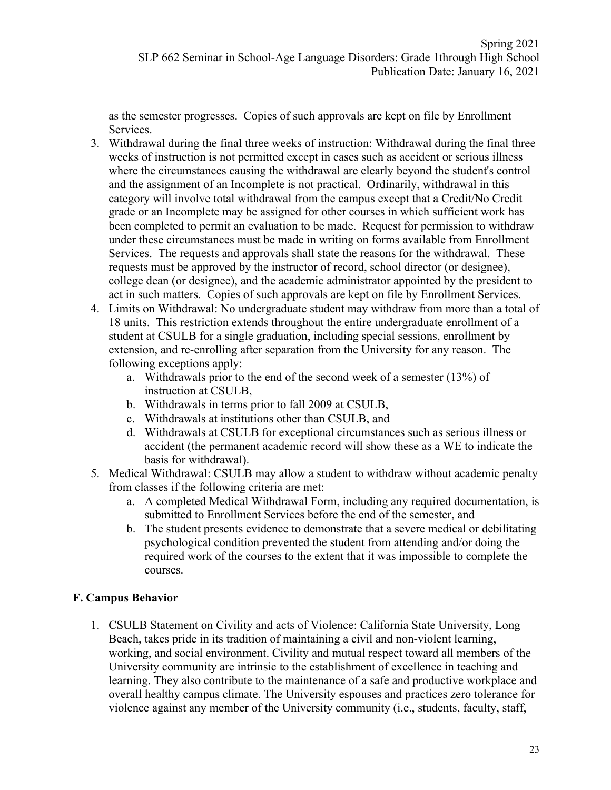as the semester progresses. Copies of such approvals are kept on file by Enrollment Services.

- 3. Withdrawal during the final three weeks of instruction: Withdrawal during the final three weeks of instruction is not permitted except in cases such as accident or serious illness where the circumstances causing the withdrawal are clearly beyond the student's control and the assignment of an Incomplete is not practical. Ordinarily, withdrawal in this category will involve total withdrawal from the campus except that a Credit/No Credit grade or an Incomplete may be assigned for other courses in which sufficient work has been completed to permit an evaluation to be made. Request for permission to withdraw under these circumstances must be made in writing on forms available from Enrollment Services. The requests and approvals shall state the reasons for the withdrawal. These requests must be approved by the instructor of record, school director (or designee), college dean (or designee), and the academic administrator appointed by the president to act in such matters. Copies of such approvals are kept on file by Enrollment Services.
- 4. Limits on Withdrawal: No undergraduate student may withdraw from more than a total of 18 units. This restriction extends throughout the entire undergraduate enrollment of a student at CSULB for a single graduation, including special sessions, enrollment by extension, and re-enrolling after separation from the University for any reason. The following exceptions apply:
	- a. Withdrawals prior to the end of the second week of a semester (13%) of instruction at CSULB,
	- b. Withdrawals in terms prior to fall 2009 at CSULB,
	- c. Withdrawals at institutions other than CSULB, and
	- d. Withdrawals at CSULB for exceptional circumstances such as serious illness or accident (the permanent academic record will show these as a WE to indicate the basis for withdrawal).
- 5. Medical Withdrawal: CSULB may allow a student to withdraw without academic penalty from classes if the following criteria are met:
	- a. A completed Medical Withdrawal Form, including any required documentation, is submitted to Enrollment Services before the end of the semester, and
	- b. The student presents evidence to demonstrate that a severe medical or debilitating psychological condition prevented the student from attending and/or doing the required work of the courses to the extent that it was impossible to complete the courses.

## **F. Campus Behavior**

1. CSULB Statement on Civility and acts of Violence: California State University, Long Beach, takes pride in its tradition of maintaining a civil and non-violent learning, working, and social environment. Civility and mutual respect toward all members of the University community are intrinsic to the establishment of excellence in teaching and learning. They also contribute to the maintenance of a safe and productive workplace and overall healthy campus climate. The University espouses and practices zero tolerance for violence against any member of the University community (i.e., students, faculty, staff,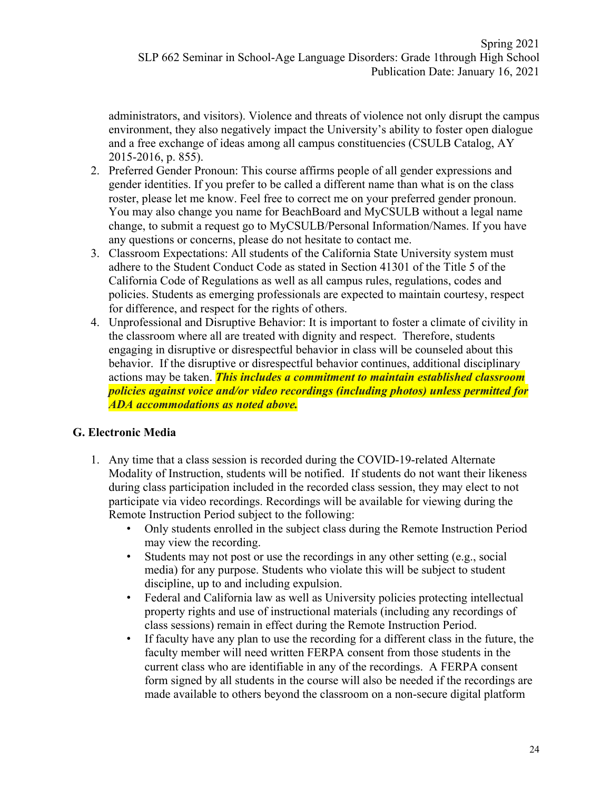administrators, and visitors). Violence and threats of violence not only disrupt the campus environment, they also negatively impact the University's ability to foster open dialogue and a free exchange of ideas among all campus constituencies (CSULB Catalog, AY 2015-2016, p. 855).

- 2. Preferred Gender Pronoun: This course affirms people of all gender expressions and gender identities. If you prefer to be called a different name than what is on the class roster, please let me know. Feel free to correct me on your preferred gender pronoun. You may also change you name for BeachBoard and MyCSULB without a legal name change, to submit a request go to MyCSULB/Personal Information/Names. If you have any questions or concerns, please do not hesitate to contact me.
- 3. Classroom Expectations: All students of the California State University system must adhere to the Student Conduct Code as stated in Section 41301 of the Title 5 of the California Code of Regulations as well as all campus rules, regulations, codes and policies. Students as emerging professionals are expected to maintain courtesy, respect for difference, and respect for the rights of others.
- 4. Unprofessional and Disruptive Behavior: It is important to foster a climate of civility in the classroom where all are treated with dignity and respect. Therefore, students engaging in disruptive or disrespectful behavior in class will be counseled about this behavior. If the disruptive or disrespectful behavior continues, additional disciplinary actions may be taken. *This includes a commitment to maintain established classroom policies against voice and/or video recordings (including photos) unless permitted for ADA accommodations as noted above.*

#### **G. Electronic Media**

- 1. Any time that a class session is recorded during the COVID-19-related Alternate Modality of Instruction, students will be notified. If students do not want their likeness during class participation included in the recorded class session, they may elect to not participate via video recordings. Recordings will be available for viewing during the Remote Instruction Period subject to the following:
	- Only students enrolled in the subject class during the Remote Instruction Period may view the recording.
	- Students may not post or use the recordings in any other setting (e.g., social media) for any purpose. Students who violate this will be subject to student discipline, up to and including expulsion.
	- Federal and California law as well as University policies protecting intellectual property rights and use of instructional materials (including any recordings of class sessions) remain in effect during the Remote Instruction Period.
	- If faculty have any plan to use the recording for a different class in the future, the faculty member will need written FERPA consent from those students in the current class who are identifiable in any of the recordings. A FERPA consent form signed by all students in the course will also be needed if the recordings are made available to others beyond the classroom on a non-secure digital platform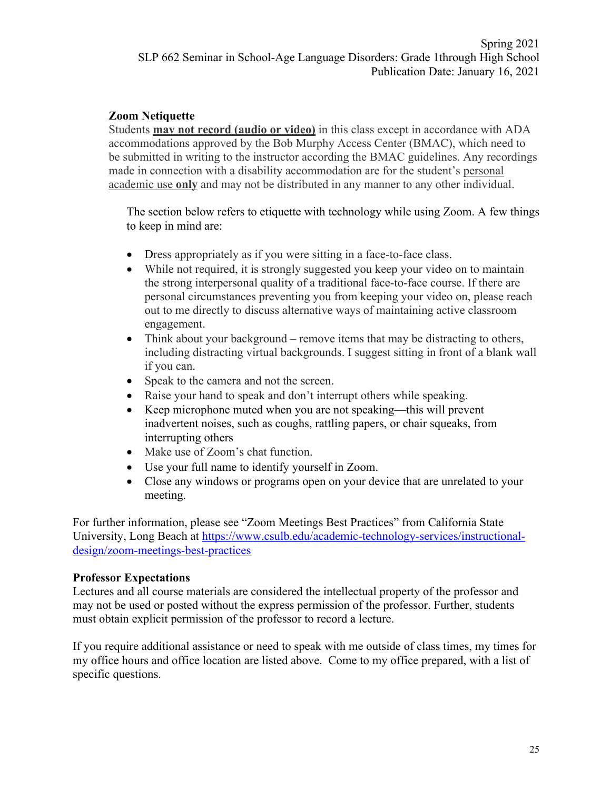### **Zoom Netiquette**

Students **may not record (audio or video)** in this class except in accordance with ADA accommodations approved by the Bob Murphy Access Center (BMAC), which need to be submitted in writing to the instructor according the BMAC guidelines. Any recordings made in connection with a disability accommodation are for the student's personal academic use **only** and may not be distributed in any manner to any other individual.

The section below refers to etiquette with technology while using Zoom. A few things to keep in mind are:

- Dress appropriately as if you were sitting in a face-to-face class.
- While not required, it is strongly suggested you keep your video on to maintain the strong interpersonal quality of a traditional face-to-face course. If there are personal circumstances preventing you from keeping your video on, please reach out to me directly to discuss alternative ways of maintaining active classroom engagement.
- Think about your background remove items that may be distracting to others, including distracting virtual backgrounds. I suggest sitting in front of a blank wall if you can.
- Speak to the camera and not the screen.
- Raise your hand to speak and don't interrupt others while speaking.
- Keep microphone muted when you are not speaking—this will prevent inadvertent noises, such as coughs, rattling papers, or chair squeaks, from interrupting others
- Make use of Zoom's chat function.
- Use your full name to identify yourself in Zoom.
- Close any windows or programs open on your device that are unrelated to your meeting.

For further information, please see "Zoom Meetings Best Practices" from California State University, Long Beach at https://www.csulb.edu/academic-technology-services/instructionaldesign/zoom-meetings-best-practices

#### **Professor Expectations**

Lectures and all course materials are considered the intellectual property of the professor and may not be used or posted without the express permission of the professor. Further, students must obtain explicit permission of the professor to record a lecture.

If you require additional assistance or need to speak with me outside of class times, my times for my office hours and office location are listed above. Come to my office prepared, with a list of specific questions.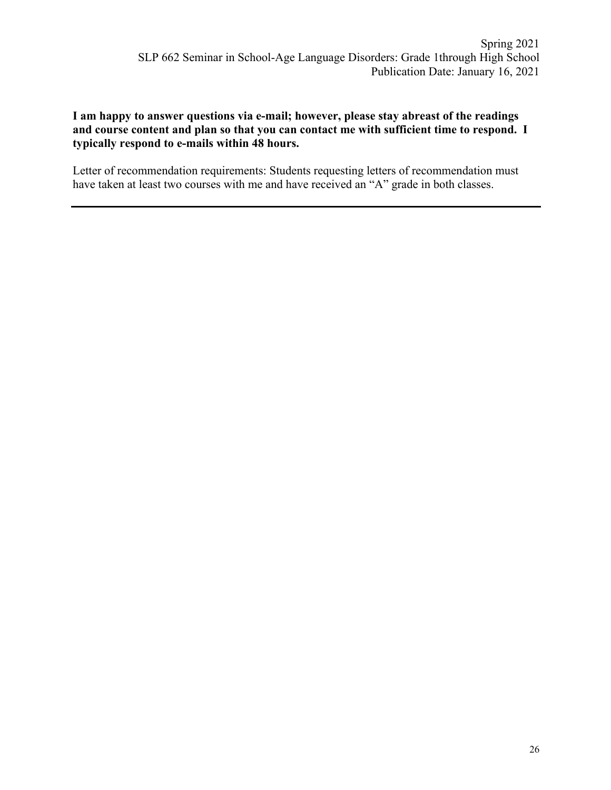#### **I am happy to answer questions via e-mail; however, please stay abreast of the readings and course content and plan so that you can contact me with sufficient time to respond. I typically respond to e-mails within 48 hours.**

Letter of recommendation requirements: Students requesting letters of recommendation must have taken at least two courses with me and have received an "A" grade in both classes.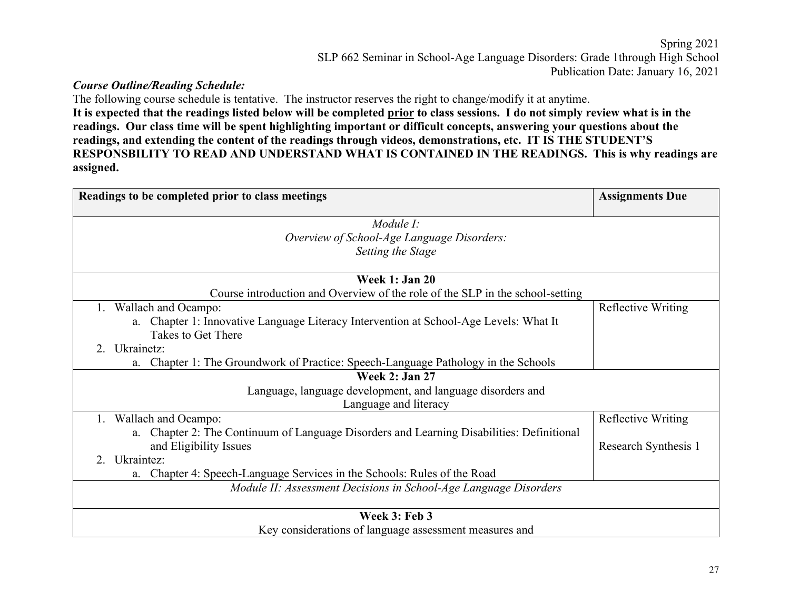### *Course Outline/Reading Schedule:*

The following course schedule is tentative. The instructor reserves the right to change/modify it at anytime. **It is expected that the readings listed below will be completed prior to class sessions. I do not simply review what is in the readings. Our class time will be spent highlighting important or difficult concepts, answering your questions about the readings, and extending the content of the readings through videos, demonstrations, etc. IT IS THE STUDENT'S RESPONSBILITY TO READ AND UNDERSTAND WHAT IS CONTAINED IN THE READINGS. This is why readings are assigned.** 

| Readings to be completed prior to class meetings                                          | <b>Assignments Due</b> |
|-------------------------------------------------------------------------------------------|------------------------|
| Module I:                                                                                 |                        |
| Overview of School-Age Language Disorders:                                                |                        |
| Setting the Stage                                                                         |                        |
|                                                                                           |                        |
| <b>Week 1: Jan 20</b>                                                                     |                        |
| Course introduction and Overview of the role of the SLP in the school-setting             |                        |
| 1. Wallach and Ocampo:                                                                    | Reflective Writing     |
| a. Chapter 1: Innovative Language Literacy Intervention at School-Age Levels: What It     |                        |
| Takes to Get There                                                                        |                        |
| 2. Ukrainetz:                                                                             |                        |
| Chapter 1: The Groundwork of Practice: Speech-Language Pathology in the Schools<br>a.     |                        |
| <b>Week 2: Jan 27</b>                                                                     |                        |
| Language, language development, and language disorders and                                |                        |
| Language and literacy                                                                     |                        |
| 1. Wallach and Ocampo:                                                                    | Reflective Writing     |
| a. Chapter 2: The Continuum of Language Disorders and Learning Disabilities: Definitional |                        |
| and Eligibility Issues                                                                    | Research Synthesis 1   |
| Ukraintez:<br>2 <sub>1</sub>                                                              |                        |
| Chapter 4: Speech-Language Services in the Schools: Rules of the Road<br>a.               |                        |
| Module II: Assessment Decisions in School-Age Language Disorders                          |                        |
| Week 3: Feb 3                                                                             |                        |
| Key considerations of language assessment measures and                                    |                        |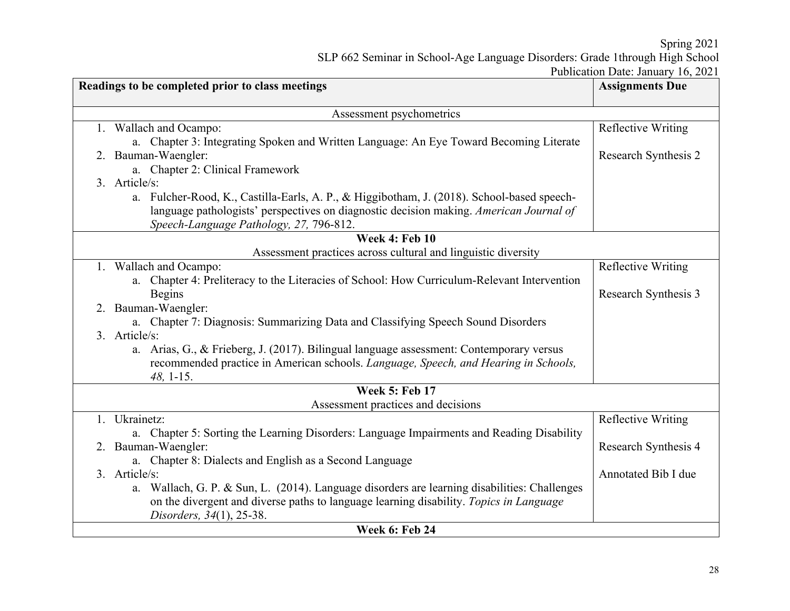Spring 2021

SLP 662 Seminar in School-Age Language Disorders: Grade 1through High School

Publication Date: January 16, 2021

| Readings to be completed prior to class meetings                                             | <b>Assignments Due</b>    |  |  |  |
|----------------------------------------------------------------------------------------------|---------------------------|--|--|--|
| Assessment psychometrics                                                                     |                           |  |  |  |
| 1. Wallach and Ocampo:                                                                       | <b>Reflective Writing</b> |  |  |  |
| a. Chapter 3: Integrating Spoken and Written Language: An Eye Toward Becoming Literate       |                           |  |  |  |
| 2. Bauman-Waengler:                                                                          | Research Synthesis 2      |  |  |  |
| a. Chapter 2: Clinical Framework                                                             |                           |  |  |  |
| 3. Article/s:                                                                                |                           |  |  |  |
| a. Fulcher-Rood, K., Castilla-Earls, A. P., & Higgibotham, J. (2018). School-based speech-   |                           |  |  |  |
| language pathologists' perspectives on diagnostic decision making. American Journal of       |                           |  |  |  |
| Speech-Language Pathology, 27, 796-812.                                                      |                           |  |  |  |
| Week 4: Feb $\overline{10}$                                                                  |                           |  |  |  |
| Assessment practices across cultural and linguistic diversity<br>1. Wallach and Ocampo:      | Reflective Writing        |  |  |  |
| a. Chapter 4: Preliteracy to the Literacies of School: How Curriculum-Relevant Intervention  |                           |  |  |  |
| <b>Begins</b>                                                                                | Research Synthesis 3      |  |  |  |
| 2. Bauman-Waengler:                                                                          |                           |  |  |  |
| a. Chapter 7: Diagnosis: Summarizing Data and Classifying Speech Sound Disorders             |                           |  |  |  |
| 3. Article/s:                                                                                |                           |  |  |  |
| a. Arias, G., & Frieberg, J. (2017). Bilingual language assessment: Contemporary versus      |                           |  |  |  |
| recommended practice in American schools. Language, Speech, and Hearing in Schools,          |                           |  |  |  |
| 48, 1-15.                                                                                    |                           |  |  |  |
| <b>Week 5: Feb 17</b>                                                                        |                           |  |  |  |
| Assessment practices and decisions                                                           |                           |  |  |  |
| 1. Ukrainetz:                                                                                | <b>Reflective Writing</b> |  |  |  |
| a. Chapter 5: Sorting the Learning Disorders: Language Impairments and Reading Disability    |                           |  |  |  |
| 2. Bauman-Waengler:                                                                          | Research Synthesis 4      |  |  |  |
| a. Chapter 8: Dialects and English as a Second Language<br>3. Article/s:                     | Annotated Bib I due       |  |  |  |
| a. Wallach, G. P. & Sun, L. (2014). Language disorders are learning disabilities: Challenges |                           |  |  |  |
| on the divergent and diverse paths to language learning disability. Topics in Language       |                           |  |  |  |
| Disorders, 34(1), 25-38.                                                                     |                           |  |  |  |
| <b>Week 6: Feb 24</b>                                                                        |                           |  |  |  |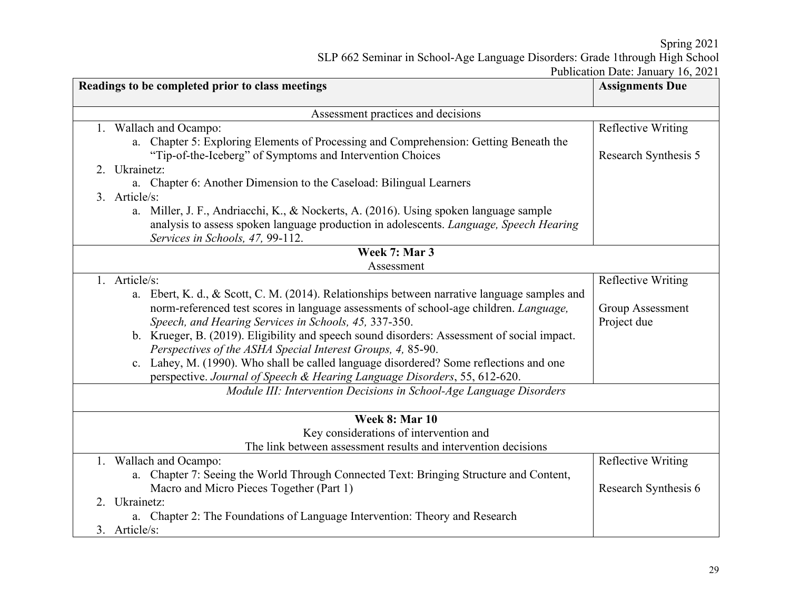Spring 2021

SLP 662 Seminar in School-Age Language Disorders: Grade 1through High School

Publication Date: January 16, 2021

| Readings to be completed prior to class meetings                                                                           | <b>Assignments Due</b>    |
|----------------------------------------------------------------------------------------------------------------------------|---------------------------|
| Assessment practices and decisions                                                                                         |                           |
| 1. Wallach and Ocampo:                                                                                                     | <b>Reflective Writing</b> |
| a. Chapter 5: Exploring Elements of Processing and Comprehension: Getting Beneath the                                      |                           |
| "Tip-of-the-Iceberg" of Symptoms and Intervention Choices                                                                  | Research Synthesis 5      |
| 2. Ukrainetz:                                                                                                              |                           |
| a. Chapter 6: Another Dimension to the Caseload: Bilingual Learners                                                        |                           |
| 3. Article/s:                                                                                                              |                           |
| a. Miller, J. F., Andriacchi, K., & Nockerts, A. (2016). Using spoken language sample                                      |                           |
| analysis to assess spoken language production in adolescents. Language, Speech Hearing<br>Services in Schools, 47, 99-112. |                           |
| Week 7: Mar 3                                                                                                              |                           |
| Assessment                                                                                                                 |                           |
| 1. Article/s:                                                                                                              | Reflective Writing        |
| a. Ebert, K. d., & Scott, C. M. (2014). Relationships between narrative language samples and                               |                           |
| norm-referenced test scores in language assessments of school-age children. Language,                                      | <b>Group Assessment</b>   |
| Speech, and Hearing Services in Schools, 45, 337-350.                                                                      | Project due               |
| b. Krueger, B. (2019). Eligibility and speech sound disorders: Assessment of social impact.                                |                           |
| Perspectives of the ASHA Special Interest Groups, 4, 85-90.                                                                |                           |
| c. Lahey, M. (1990). Who shall be called language disordered? Some reflections and one                                     |                           |
| perspective. Journal of Speech & Hearing Language Disorders, 55, 612-620.                                                  |                           |
| Module III: Intervention Decisions in School-Age Language Disorders                                                        |                           |
| Week 8: Mar 10                                                                                                             |                           |
| Key considerations of intervention and                                                                                     |                           |
| The link between assessment results and intervention decisions                                                             |                           |
| 1. Wallach and Ocampo:                                                                                                     | <b>Reflective Writing</b> |
| a. Chapter 7: Seeing the World Through Connected Text: Bringing Structure and Content,                                     |                           |
| Macro and Micro Pieces Together (Part 1)                                                                                   | Research Synthesis 6      |
| 2. Ukrainetz:                                                                                                              |                           |
| a. Chapter 2: The Foundations of Language Intervention: Theory and Research                                                |                           |
| 3. Article/s:                                                                                                              |                           |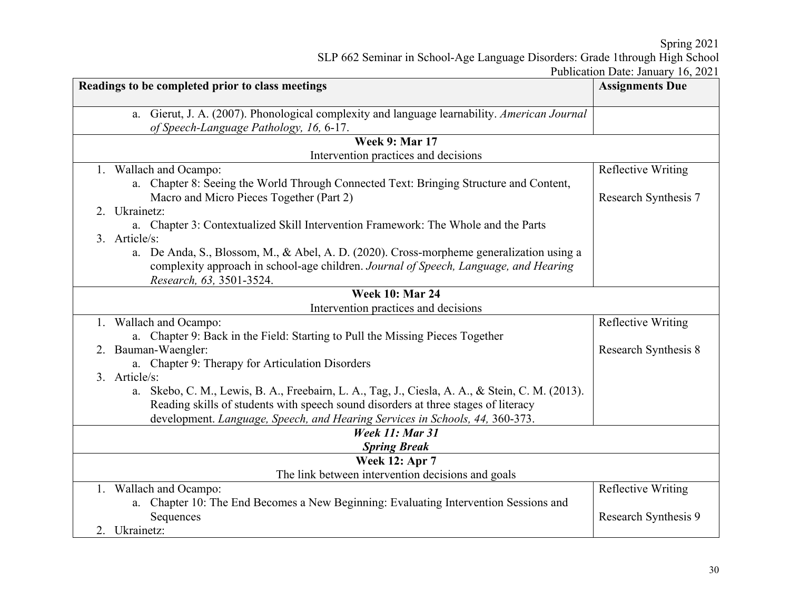Spring 2021 SLP 662 Seminar in School-Age Language Disorders: Grade 1through High School Publication Date: January 16, 2021

|                                                                                                 | I GOILEAUOII DAIC. JAILEA Y TO, $2021$ |  |  |  |
|-------------------------------------------------------------------------------------------------|----------------------------------------|--|--|--|
| Readings to be completed prior to class meetings                                                | <b>Assignments Due</b>                 |  |  |  |
|                                                                                                 |                                        |  |  |  |
| a. Gierut, J. A. (2007). Phonological complexity and language learnability. American Journal    |                                        |  |  |  |
| of Speech-Language Pathology, 16, 6-17.                                                         |                                        |  |  |  |
| <b>Week 9: Mar 17</b>                                                                           |                                        |  |  |  |
| Intervention practices and decisions                                                            |                                        |  |  |  |
| 1. Wallach and Ocampo:                                                                          | Reflective Writing                     |  |  |  |
| a. Chapter 8: Seeing the World Through Connected Text: Bringing Structure and Content,          |                                        |  |  |  |
| Macro and Micro Pieces Together (Part 2)                                                        | Research Synthesis 7                   |  |  |  |
| 2. Ukrainetz:                                                                                   |                                        |  |  |  |
| a. Chapter 3: Contextualized Skill Intervention Framework: The Whole and the Parts              |                                        |  |  |  |
| 3. Article/s:                                                                                   |                                        |  |  |  |
| a. De Anda, S., Blossom, M., & Abel, A. D. (2020). Cross-morpheme generalization using a        |                                        |  |  |  |
| complexity approach in school-age children. Journal of Speech, Language, and Hearing            |                                        |  |  |  |
| Research, 63, 3501-3524.                                                                        |                                        |  |  |  |
| <b>Week 10: Mar 24</b>                                                                          |                                        |  |  |  |
| Intervention practices and decisions                                                            |                                        |  |  |  |
| 1. Wallach and Ocampo:                                                                          | <b>Reflective Writing</b>              |  |  |  |
| a. Chapter 9: Back in the Field: Starting to Pull the Missing Pieces Together                   |                                        |  |  |  |
| 2. Bauman-Waengler:                                                                             | Research Synthesis 8                   |  |  |  |
| a. Chapter 9: Therapy for Articulation Disorders                                                |                                        |  |  |  |
| 3. Article/s:                                                                                   |                                        |  |  |  |
| a. Skebo, C. M., Lewis, B. A., Freebairn, L. A., Tag, J., Ciesla, A. A., & Stein, C. M. (2013). |                                        |  |  |  |
| Reading skills of students with speech sound disorders at three stages of literacy              |                                        |  |  |  |
| development. Language, Speech, and Hearing Services in Schools, 44, 360-373.                    |                                        |  |  |  |
| <b>Week 11: Mar 31</b>                                                                          |                                        |  |  |  |
| <b>Spring Break</b>                                                                             |                                        |  |  |  |
| <b>Week 12: Apr 7</b>                                                                           |                                        |  |  |  |
| The link between intervention decisions and goals                                               |                                        |  |  |  |
| 1. Wallach and Ocampo:                                                                          | Reflective Writing                     |  |  |  |
| a. Chapter 10: The End Becomes a New Beginning: Evaluating Intervention Sessions and            |                                        |  |  |  |
| Sequences                                                                                       | Research Synthesis 9                   |  |  |  |
| 2. Ukrainetz:                                                                                   |                                        |  |  |  |
|                                                                                                 |                                        |  |  |  |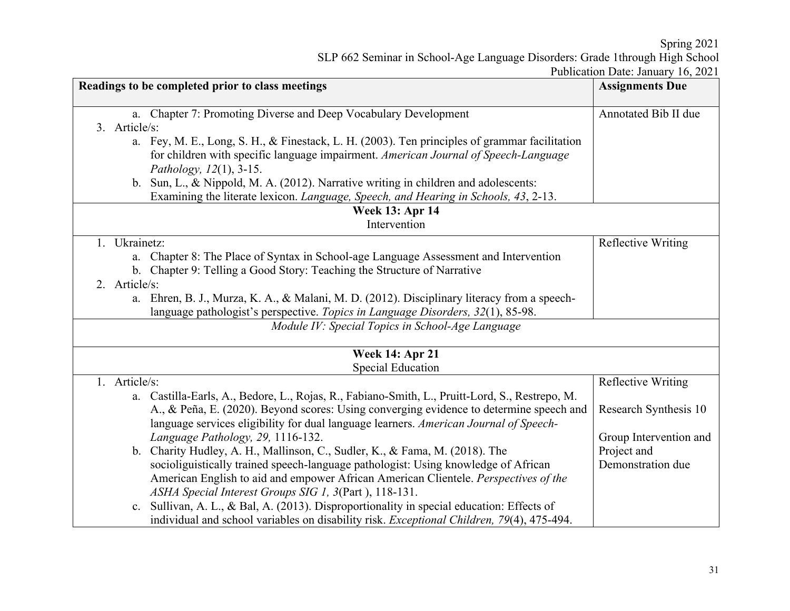Spring 2021 SLP 662 Seminar in School-Age Language Disorders: Grade 1through High School Publication Date: January 16, 2021

| Readings to be completed prior to class meetings |               | <b>Assignments Due</b>                                                                                         |                           |
|--------------------------------------------------|---------------|----------------------------------------------------------------------------------------------------------------|---------------------------|
|                                                  |               | a. Chapter 7: Promoting Diverse and Deep Vocabulary Development                                                | Annotated Bib II due      |
|                                                  | 3. Article/s: |                                                                                                                |                           |
|                                                  |               | a. Fey, M. E., Long, S. H., & Finestack, L. H. (2003). Ten principles of grammar facilitation                  |                           |
|                                                  |               | for children with specific language impairment. American Journal of Speech-Language                            |                           |
|                                                  |               | Pathology, 12(1), 3-15.<br>b. Sun, L., & Nippold, M. A. (2012). Narrative writing in children and adolescents: |                           |
|                                                  |               |                                                                                                                |                           |
|                                                  |               | Examining the literate lexicon. Language, Speech, and Hearing in Schools, 43, 2-13.<br><b>Week 13: Apr 14</b>  |                           |
|                                                  |               | Intervention                                                                                                   |                           |
|                                                  | 1. Ukrainetz: |                                                                                                                | <b>Reflective Writing</b> |
|                                                  | a.            | Chapter 8: The Place of Syntax in School-age Language Assessment and Intervention                              |                           |
|                                                  |               | b. Chapter 9: Telling a Good Story: Teaching the Structure of Narrative                                        |                           |
|                                                  | 2. Article/s: |                                                                                                                |                           |
|                                                  |               | a. Ehren, B. J., Murza, K. A., & Malani, M. D. (2012). Disciplinary literacy from a speech-                    |                           |
|                                                  |               | language pathologist's perspective. Topics in Language Disorders, 32(1), 85-98.                                |                           |
|                                                  |               | Module IV: Special Topics in School-Age Language                                                               |                           |
|                                                  |               | <b>Week 14: Apr 21</b>                                                                                         |                           |
|                                                  |               | <b>Special Education</b>                                                                                       |                           |
|                                                  | 1. Article/s: |                                                                                                                | <b>Reflective Writing</b> |
|                                                  |               | a. Castilla-Earls, A., Bedore, L., Rojas, R., Fabiano-Smith, L., Pruitt-Lord, S., Restrepo, M.                 |                           |
|                                                  |               | A., & Peña, E. (2020). Beyond scores: Using converging evidence to determine speech and                        | Research Synthesis 10     |
|                                                  |               | language services eligibility for dual language learners. American Journal of Speech-                          |                           |
|                                                  |               | Language Pathology, 29, 1116-132.                                                                              | Group Intervention and    |
|                                                  |               | b. Charity Hudley, A. H., Mallinson, C., Sudler, K., & Fama, M. (2018). The                                    | Project and               |
|                                                  |               | socioliguistically trained speech-language pathologist: Using knowledge of African                             | Demonstration due         |
|                                                  |               | American English to aid and empower African American Clientele. Perspectives of the                            |                           |
|                                                  |               | ASHA Special Interest Groups SIG 1, 3(Part), 118-131.                                                          |                           |
|                                                  |               | c. Sullivan, A. L., & Bal, A. (2013). Disproportionality in special education: Effects of                      |                           |
|                                                  |               | individual and school variables on disability risk. Exceptional Children, 79(4), 475-494.                      |                           |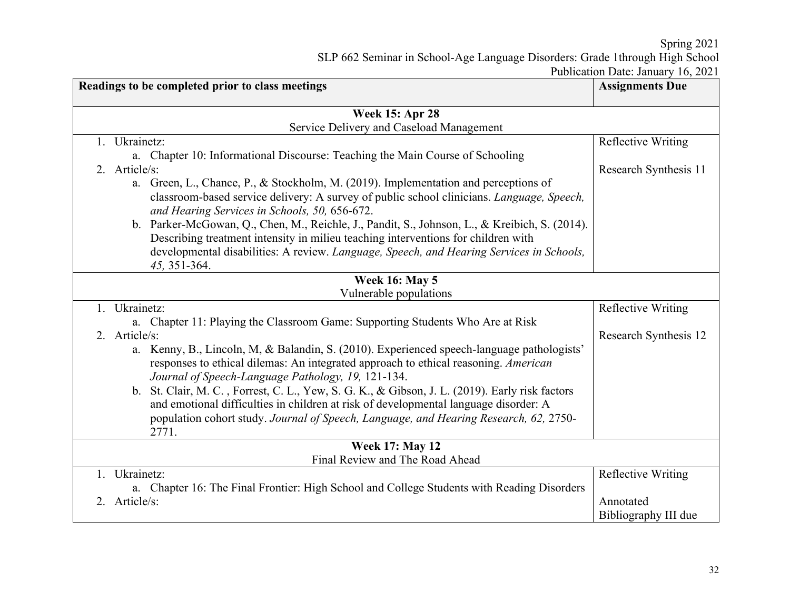Spring 2021 SLP 662 Seminar in School-Age Language Disorders: Grade 1through High School

Publication Date: January 16, 2021

| Readings to be completed prior to class meetings                                                                                                                                   | <b>Assignments Due</b>    |  |
|------------------------------------------------------------------------------------------------------------------------------------------------------------------------------------|---------------------------|--|
| <b>Week 15: Apr 28</b>                                                                                                                                                             |                           |  |
| Service Delivery and Caseload Management                                                                                                                                           |                           |  |
| 1. Ukrainetz:                                                                                                                                                                      | Reflective Writing        |  |
| a. Chapter 10: Informational Discourse: Teaching the Main Course of Schooling                                                                                                      |                           |  |
| 2. Article/s:                                                                                                                                                                      | Research Synthesis 11     |  |
| a. Green, L., Chance, P., & Stockholm, M. (2019). Implementation and perceptions of                                                                                                |                           |  |
| classroom-based service delivery: A survey of public school clinicians. Language, Speech,<br>and Hearing Services in Schools, 50, 656-672.                                         |                           |  |
| b. Parker-McGowan, Q., Chen, M., Reichle, J., Pandit, S., Johnson, L., & Kreibich, S. (2014).<br>Describing treatment intensity in milieu teaching interventions for children with |                           |  |
| developmental disabilities: A review. Language, Speech, and Hearing Services in Schools,<br>45, 351-364.                                                                           |                           |  |
| <b>Week 16: May 5</b>                                                                                                                                                              |                           |  |
| Vulnerable populations                                                                                                                                                             |                           |  |
| 1. Ukrainetz:                                                                                                                                                                      | <b>Reflective Writing</b> |  |
| a. Chapter 11: Playing the Classroom Game: Supporting Students Who Are at Risk                                                                                                     |                           |  |
| 2. Article/s:                                                                                                                                                                      | Research Synthesis 12     |  |
| a. Kenny, B., Lincoln, M, & Balandin, S. (2010). Experienced speech-language pathologists'                                                                                         |                           |  |
| responses to ethical dilemas: An integrated approach to ethical reasoning. American                                                                                                |                           |  |
| Journal of Speech-Language Pathology, 19, 121-134.                                                                                                                                 |                           |  |
| b. St. Clair, M. C., Forrest, C. L., Yew, S. G. K., & Gibson, J. L. (2019). Early risk factors                                                                                     |                           |  |
| and emotional difficulties in children at risk of developmental language disorder: A                                                                                               |                           |  |
| population cohort study. Journal of Speech, Language, and Hearing Research, 62, 2750-                                                                                              |                           |  |
| 2771.                                                                                                                                                                              |                           |  |
| <b>Week 17: May 12</b>                                                                                                                                                             |                           |  |
| Final Review and The Road Ahead                                                                                                                                                    |                           |  |
| 1. Ukrainetz:                                                                                                                                                                      | <b>Reflective Writing</b> |  |
| a. Chapter 16: The Final Frontier: High School and College Students with Reading Disorders                                                                                         |                           |  |
| 2. Article/s:                                                                                                                                                                      | Annotated                 |  |
|                                                                                                                                                                                    | Bibliography III due      |  |